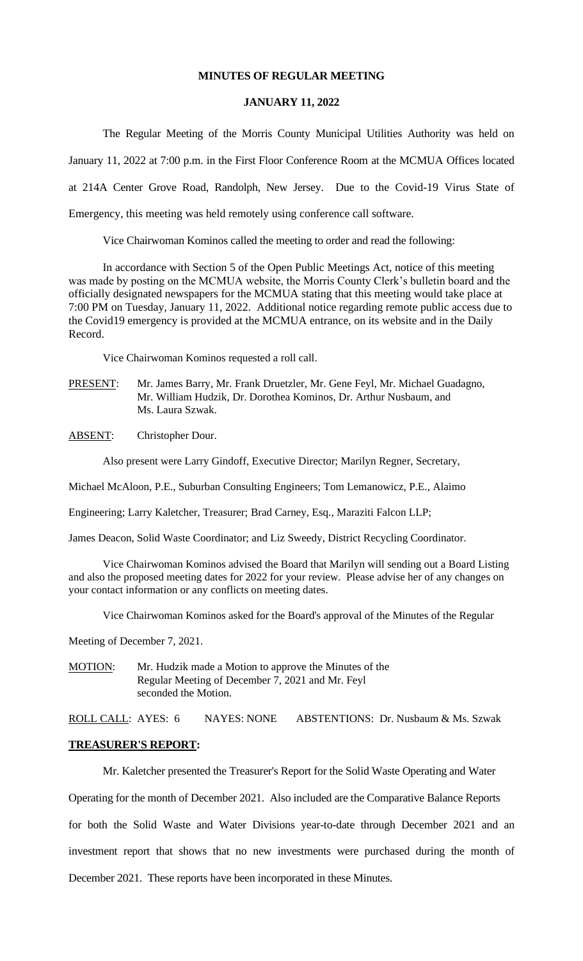### **MINUTES OF REGULAR MEETING**

#### **JANUARY 11, 2022**

The Regular Meeting of the Morris County Municipal Utilities Authority was held on January 11, 2022 at 7:00 p.m. in the First Floor Conference Room at the MCMUA Offices located at 214A Center Grove Road, Randolph, New Jersey. Due to the Covid-19 Virus State of Emergency, this meeting was held remotely using conference call software.

Vice Chairwoman Kominos called the meeting to order and read the following:

In accordance with Section 5 of the Open Public Meetings Act, notice of this meeting was made by posting on the MCMUA website, the Morris County Clerk's bulletin board and the officially designated newspapers for the MCMUA stating that this meeting would take place at 7:00 PM on Tuesday, January 11, 2022. Additional notice regarding remote public access due to the Covid19 emergency is provided at the MCMUA entrance, on its website and in the Daily Record.

Vice Chairwoman Kominos requested a roll call.

- PRESENT: Mr. James Barry, Mr. Frank Druetzler, Mr. Gene Feyl, Mr. Michael Guadagno, Mr. William Hudzik, Dr. Dorothea Kominos, Dr. Arthur Nusbaum, and Ms. Laura Szwak.
- ABSENT: Christopher Dour.

Also present were Larry Gindoff, Executive Director; Marilyn Regner, Secretary,

Michael McAloon, P.E., Suburban Consulting Engineers; Tom Lemanowicz, P.E., Alaimo

Engineering; Larry Kaletcher, Treasurer; Brad Carney, Esq., Maraziti Falcon LLP;

James Deacon, Solid Waste Coordinator; and Liz Sweedy, District Recycling Coordinator.

Vice Chairwoman Kominos advised the Board that Marilyn will sending out a Board Listing and also the proposed meeting dates for 2022 for your review. Please advise her of any changes on your contact information or any conflicts on meeting dates.

Vice Chairwoman Kominos asked for the Board's approval of the Minutes of the Regular

Meeting of December 7, 2021.

MOTION: Mr. Hudzik made a Motion to approve the Minutes of the Regular Meeting of December 7, 2021 and Mr. Feyl seconded the Motion.

ROLL CALL: AYES: 6 NAYES: NONE ABSTENTIONS: Dr. Nusbaum & Ms. Szwak

#### **TREASURER'S REPORT:**

Mr. Kaletcher presented the Treasurer's Report for the Solid Waste Operating and Water

Operating for the month of December 2021. Also included are the Comparative Balance Reports

for both the Solid Waste and Water Divisions year-to-date through December 2021 and an

investment report that shows that no new investments were purchased during the month of

December 2021. These reports have been incorporated in these Minutes.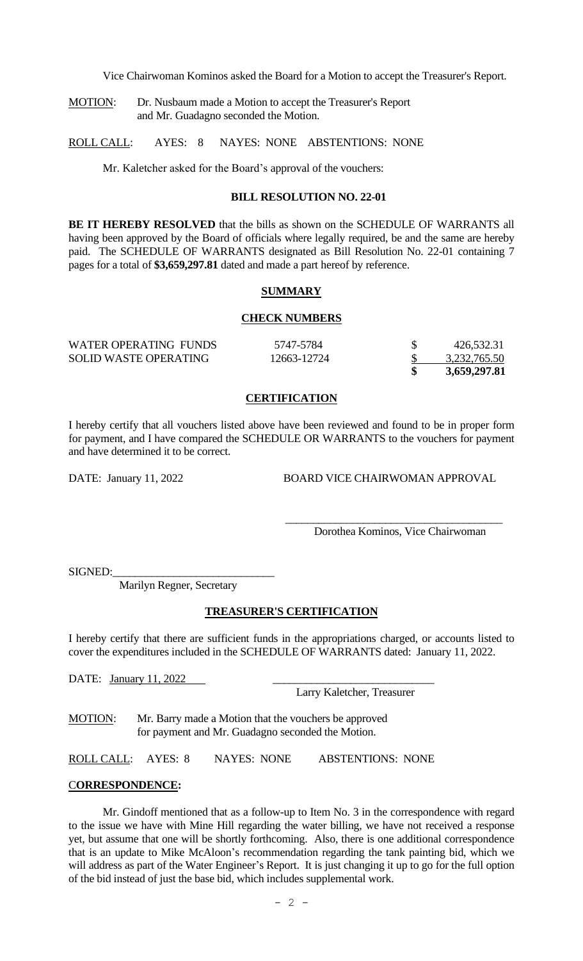Vice Chairwoman Kominos asked the Board for a Motion to accept the Treasurer's Report.

MOTION: Dr. Nusbaum made a Motion to accept the Treasurer's Report and Mr. Guadagno seconded the Motion.

ROLL CALL: AYES: 8 NAYES: NONE ABSTENTIONS: NONE

Mr. Kaletcher asked for the Board's approval of the vouchers:

### **BILL RESOLUTION NO. 22-01**

**BE IT HEREBY RESOLVED** that the bills as shown on the SCHEDULE OF WARRANTS all having been approved by the Board of officials where legally required, be and the same are hereby paid. The SCHEDULE OF WARRANTS designated as Bill Resolution No. 22-01 containing 7 pages for a total of **\$3,659,297.81** dated and made a part hereof by reference.

#### **SUMMARY**

#### **CHECK NUMBERS**

| WATER OPERATING FUNDS        | 5747-5784   | 426,532.31   |
|------------------------------|-------------|--------------|
| <b>SOLID WASTE OPERATING</b> | 12663-12724 | 3,232,765.50 |
|                              |             | 3,659,297.81 |

### **CERTIFICATION**

I hereby certify that all vouchers listed above have been reviewed and found to be in proper form for payment, and I have compared the SCHEDULE OR WARRANTS to the vouchers for payment and have determined it to be correct.

DATE: January 11, 2022 BOARD VICE CHAIRWOMAN APPROVAL

 $\overline{\phantom{a}}$  ,  $\overline{\phantom{a}}$  ,  $\overline{\phantom{a}}$  ,  $\overline{\phantom{a}}$  ,  $\overline{\phantom{a}}$  ,  $\overline{\phantom{a}}$  ,  $\overline{\phantom{a}}$  ,  $\overline{\phantom{a}}$  ,  $\overline{\phantom{a}}$  ,  $\overline{\phantom{a}}$  ,  $\overline{\phantom{a}}$  ,  $\overline{\phantom{a}}$  ,  $\overline{\phantom{a}}$  ,  $\overline{\phantom{a}}$  ,  $\overline{\phantom{a}}$  ,  $\overline{\phantom{a}}$ 

Dorothea Kominos, Vice Chairwoman

SIGNED:

Marilyn Regner, Secretary

#### **TREASURER'S CERTIFICATION**

I hereby certify that there are sufficient funds in the appropriations charged, or accounts listed to cover the expenditures included in the SCHEDULE OF WARRANTS dated: January 11, 2022.

DATE: January 11, 2022

Larry Kaletcher, Treasurer

MOTION: Mr. Barry made a Motion that the vouchers be approved for payment and Mr. Guadagno seconded the Motion.

ROLL CALL: AYES: 8 NAYES: NONE ABSTENTIONS: NONE

#### C**ORRESPONDENCE:**

Mr. Gindoff mentioned that as a follow-up to Item No. 3 in the correspondence with regard to the issue we have with Mine Hill regarding the water billing, we have not received a response yet, but assume that one will be shortly forthcoming. Also, there is one additional correspondence that is an update to Mike McAloon's recommendation regarding the tank painting bid, which we will address as part of the Water Engineer's Report. It is just changing it up to go for the full option of the bid instead of just the base bid, which includes supplemental work.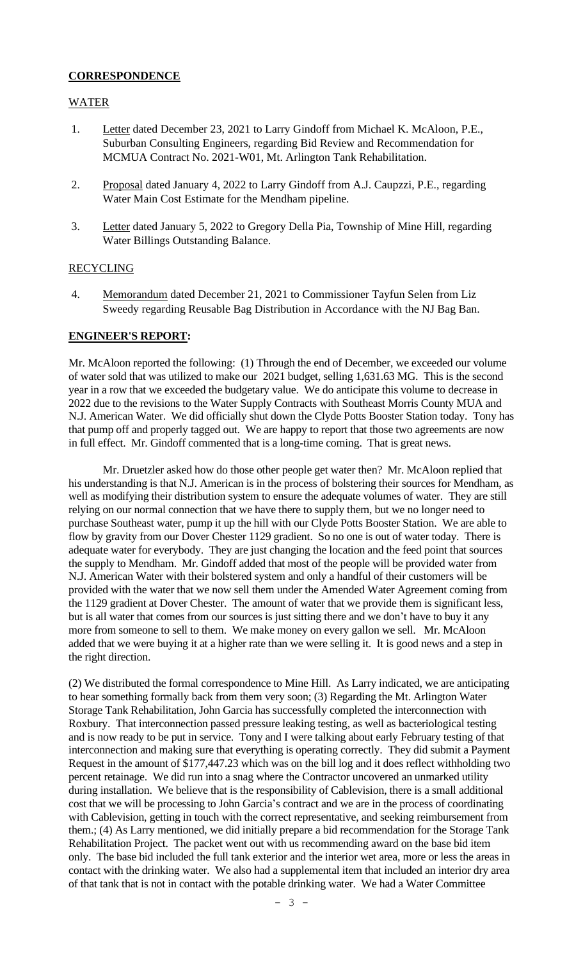# **CORRESPONDENCE**

### WATER

- 1. Letter dated December 23, 2021 to Larry Gindoff from Michael K. McAloon, P.E., Suburban Consulting Engineers, regarding Bid Review and Recommendation for MCMUA Contract No. 2021-W01, Mt. Arlington Tank Rehabilitation.
- 2. Proposal dated January 4, 2022 to Larry Gindoff from A.J. Caupzzi, P.E., regarding Water Main Cost Estimate for the Mendham pipeline.
- 3. Letter dated January 5, 2022 to Gregory Della Pia, Township of Mine Hill, regarding Water Billings Outstanding Balance.

### RECYCLING

4. Memorandum dated December 21, 2021 to Commissioner Tayfun Selen from Liz Sweedy regarding Reusable Bag Distribution in Accordance with the NJ Bag Ban.

#### **ENGINEER'S REPORT:**

Mr. McAloon reported the following: (1) Through the end of December, we exceeded our volume of water sold that was utilized to make our 2021 budget, selling 1,631.63 MG. This is the second year in a row that we exceeded the budgetary value. We do anticipate this volume to decrease in 2022 due to the revisions to the Water Supply Contracts with Southeast Morris County MUA and N.J. American Water. We did officially shut down the Clyde Potts Booster Station today. Tony has that pump off and properly tagged out. We are happy to report that those two agreements are now in full effect. Mr. Gindoff commented that is a long-time coming. That is great news.

Mr. Druetzler asked how do those other people get water then? Mr. McAloon replied that his understanding is that N.J. American is in the process of bolstering their sources for Mendham, as well as modifying their distribution system to ensure the adequate volumes of water. They are still relying on our normal connection that we have there to supply them, but we no longer need to purchase Southeast water, pump it up the hill with our Clyde Potts Booster Station. We are able to flow by gravity from our Dover Chester 1129 gradient. So no one is out of water today. There is adequate water for everybody. They are just changing the location and the feed point that sources the supply to Mendham. Mr. Gindoff added that most of the people will be provided water from N.J. American Water with their bolstered system and only a handful of their customers will be provided with the water that we now sell them under the Amended Water Agreement coming from the 1129 gradient at Dover Chester. The amount of water that we provide them is significant less, but is all water that comes from our sources is just sitting there and we don't have to buy it any more from someone to sell to them. We make money on every gallon we sell. Mr. McAloon added that we were buying it at a higher rate than we were selling it. It is good news and a step in the right direction.

(2) We distributed the formal correspondence to Mine Hill. As Larry indicated, we are anticipating to hear something formally back from them very soon; (3) Regarding the Mt. Arlington Water Storage Tank Rehabilitation, John Garcia has successfully completed the interconnection with Roxbury. That interconnection passed pressure leaking testing, as well as bacteriological testing and is now ready to be put in service. Tony and I were talking about early February testing of that interconnection and making sure that everything is operating correctly. They did submit a Payment Request in the amount of \$177,447.23 which was on the bill log and it does reflect withholding two percent retainage. We did run into a snag where the Contractor uncovered an unmarked utility during installation. We believe that is the responsibility of Cablevision, there is a small additional cost that we will be processing to John Garcia's contract and we are in the process of coordinating with Cablevision, getting in touch with the correct representative, and seeking reimbursement from them.; (4) As Larry mentioned, we did initially prepare a bid recommendation for the Storage Tank Rehabilitation Project. The packet went out with us recommending award on the base bid item only. The base bid included the full tank exterior and the interior wet area, more or less the areas in contact with the drinking water. We also had a supplemental item that included an interior dry area of that tank that is not in contact with the potable drinking water. We had a Water Committee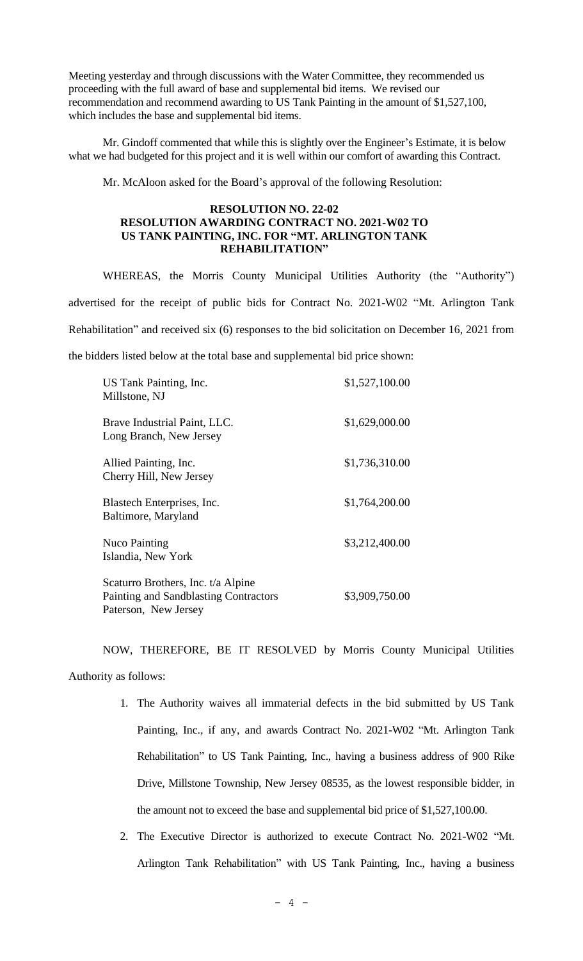Meeting yesterday and through discussions with the Water Committee, they recommended us proceeding with the full award of base and supplemental bid items. We revised our recommendation and recommend awarding to US Tank Painting in the amount of \$1,527,100, which includes the base and supplemental bid items.

Mr. Gindoff commented that while this is slightly over the Engineer's Estimate, it is below what we had budgeted for this project and it is well within our comfort of awarding this Contract.

Mr. McAloon asked for the Board's approval of the following Resolution:

### **RESOLUTION NO. 22-02 RESOLUTION AWARDING CONTRACT NO. 2021-W02 TO US TANK PAINTING, INC. FOR "MT. ARLINGTON TANK REHABILITATION"**

WHEREAS, the Morris County Municipal Utilities Authority (the "Authority") advertised for the receipt of public bids for Contract No. 2021-W02 "Mt. Arlington Tank Rehabilitation" and received six (6) responses to the bid solicitation on December 16, 2021 from the bidders listed below at the total base and supplemental bid price shown:

| US Tank Painting, Inc.<br>Millstone, NJ                                                             | \$1,527,100.00 |
|-----------------------------------------------------------------------------------------------------|----------------|
| Brave Industrial Paint, LLC.<br>Long Branch, New Jersey                                             | \$1,629,000.00 |
| Allied Painting, Inc.<br>Cherry Hill, New Jersey                                                    | \$1,736,310.00 |
| Blastech Enterprises, Inc.<br>Baltimore, Maryland                                                   | \$1,764,200.00 |
| <b>Nuco Painting</b><br>Islandia, New York                                                          | \$3,212,400.00 |
| Scaturro Brothers, Inc. t/a Alpine<br>Painting and Sandblasting Contractors<br>Paterson, New Jersey | \$3,909,750.00 |

NOW, THEREFORE, BE IT RESOLVED by Morris County Municipal Utilities Authority as follows:

- 1. The Authority waives all immaterial defects in the bid submitted by US Tank Painting, Inc., if any, and awards Contract No. 2021-W02 "Mt. Arlington Tank Rehabilitation" to US Tank Painting, Inc., having a business address of 900 Rike Drive, Millstone Township, New Jersey 08535, as the lowest responsible bidder, in the amount not to exceed the base and supplemental bid price of \$1,527,100.00.
- 2. The Executive Director is authorized to execute Contract No. 2021-W02 "Mt. Arlington Tank Rehabilitation" with US Tank Painting, Inc., having a business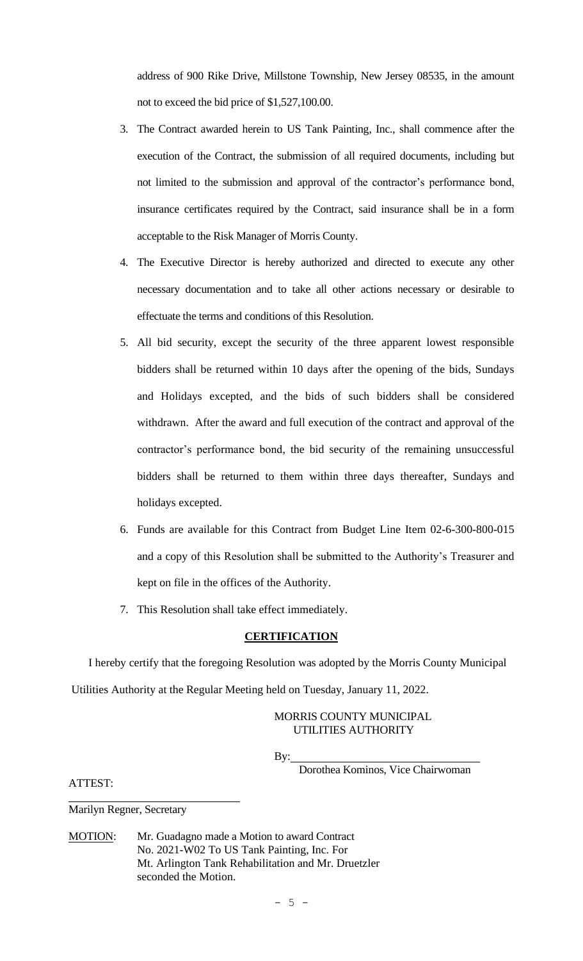address of 900 Rike Drive, Millstone Township, New Jersey 08535, in the amount not to exceed the bid price of \$1,527,100.00.

- 3. The Contract awarded herein to US Tank Painting, Inc., shall commence after the execution of the Contract, the submission of all required documents, including but not limited to the submission and approval of the contractor's performance bond, insurance certificates required by the Contract, said insurance shall be in a form acceptable to the Risk Manager of Morris County.
- 4. The Executive Director is hereby authorized and directed to execute any other necessary documentation and to take all other actions necessary or desirable to effectuate the terms and conditions of this Resolution.
- 5. All bid security, except the security of the three apparent lowest responsible bidders shall be returned within 10 days after the opening of the bids, Sundays and Holidays excepted, and the bids of such bidders shall be considered withdrawn. After the award and full execution of the contract and approval of the contractor's performance bond, the bid security of the remaining unsuccessful bidders shall be returned to them within three days thereafter, Sundays and holidays excepted.
- 6. Funds are available for this Contract from Budget Line Item 02-6-300-800-015 and a copy of this Resolution shall be submitted to the Authority's Treasurer and kept on file in the offices of the Authority.
- 7. This Resolution shall take effect immediately.

### **CERTIFICATION**

 I hereby certify that the foregoing Resolution was adopted by the Morris County Municipal Utilities Authority at the Regular Meeting held on Tuesday, January 11, 2022.

# MORRIS COUNTY MUNICIPAL UTILITIES AUTHORITY

By:

Dorothea Kominos, Vice Chairwoman

ATTEST:

Marilyn Regner, Secretary

MOTION: Mr. Guadagno made a Motion to award Contract No. 2021-W02 To US Tank Painting, Inc. For Mt. Arlington Tank Rehabilitation and Mr. Druetzler seconded the Motion.

 $- 5 -$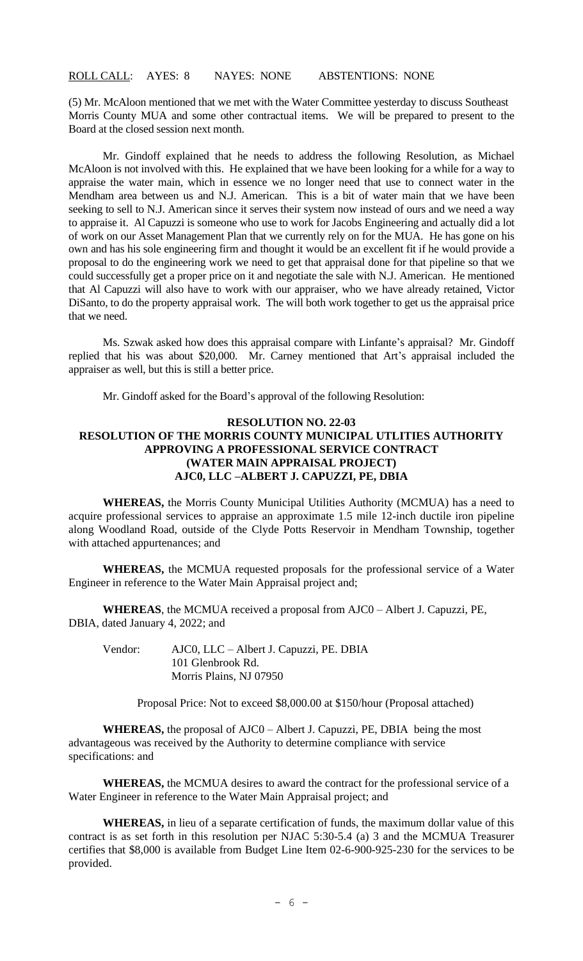## ROLL CALL: AYES: 8 NAYES: NONE ABSTENTIONS: NONE

(5) Mr. McAloon mentioned that we met with the Water Committee yesterday to discuss Southeast Morris County MUA and some other contractual items. We will be prepared to present to the Board at the closed session next month.

Mr. Gindoff explained that he needs to address the following Resolution, as Michael McAloon is not involved with this. He explained that we have been looking for a while for a way to appraise the water main, which in essence we no longer need that use to connect water in the Mendham area between us and N.J. American. This is a bit of water main that we have been seeking to sell to N.J. American since it serves their system now instead of ours and we need a way to appraise it. Al Capuzzi is someone who use to work for Jacobs Engineering and actually did a lot of work on our Asset Management Plan that we currently rely on for the MUA. He has gone on his own and has his sole engineering firm and thought it would be an excellent fit if he would provide a proposal to do the engineering work we need to get that appraisal done for that pipeline so that we could successfully get a proper price on it and negotiate the sale with N.J. American. He mentioned that Al Capuzzi will also have to work with our appraiser, who we have already retained, Victor DiSanto, to do the property appraisal work. The will both work together to get us the appraisal price that we need.

Ms. Szwak asked how does this appraisal compare with Linfante's appraisal? Mr. Gindoff replied that his was about \$20,000. Mr. Carney mentioned that Art's appraisal included the appraiser as well, but this is still a better price.

Mr. Gindoff asked for the Board's approval of the following Resolution:

### **RESOLUTION NO. 22-03 RESOLUTION OF THE MORRIS COUNTY MUNICIPAL UTLITIES AUTHORITY APPROVING A PROFESSIONAL SERVICE CONTRACT (WATER MAIN APPRAISAL PROJECT) AJC0, LLC –ALBERT J. CAPUZZI, PE, DBIA**

**WHEREAS,** the Morris County Municipal Utilities Authority (MCMUA) has a need to acquire professional services to appraise an approximate 1.5 mile 12-inch ductile iron pipeline along Woodland Road, outside of the Clyde Potts Reservoir in Mendham Township, together with attached appurtenances; and

**WHEREAS,** the MCMUA requested proposals for the professional service of a Water Engineer in reference to the Water Main Appraisal project and;

**WHEREAS**, the MCMUA received a proposal from AJC0 – Albert J. Capuzzi, PE, DBIA, dated January 4, 2022; and

Vendor: AJC0, LLC – Albert J. Capuzzi, PE. DBIA 101 Glenbrook Rd. Morris Plains, NJ 07950

Proposal Price: Not to exceed \$8,000.00 at \$150/hour (Proposal attached)

**WHEREAS,** the proposal of AJC0 – Albert J. Capuzzi, PE, DBIA being the most advantageous was received by the Authority to determine compliance with service specifications: and

**WHEREAS,** the MCMUA desires to award the contract for the professional service of a Water Engineer in reference to the Water Main Appraisal project; and

**WHEREAS,** in lieu of a separate certification of funds, the maximum dollar value of this contract is as set forth in this resolution per NJAC 5:30-5.4 (a) 3 and the MCMUA Treasurer certifies that \$8,000 is available from Budget Line Item 02-6-900-925-230 for the services to be provided.

 $- 6 -$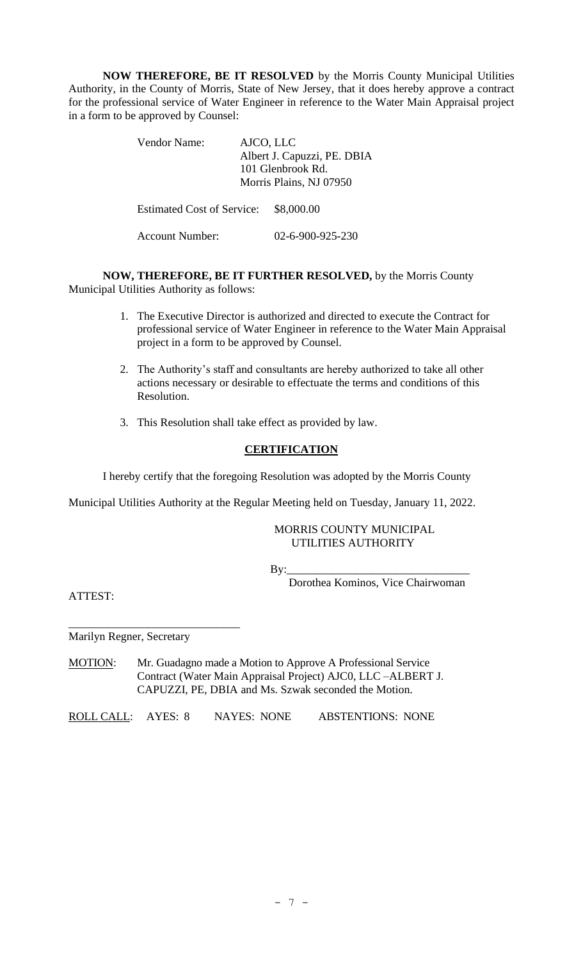**NOW THEREFORE, BE IT RESOLVED** by the Morris County Municipal Utilities Authority, in the County of Morris, State of New Jersey, that it does hereby approve a contract for the professional service of Water Engineer in reference to the Water Main Appraisal project in a form to be approved by Counsel:

| Vendor Name:                      | AJCO, LLC<br>Albert J. Capuzzi, PE. DBIA<br>101 Glenbrook Rd.<br>Morris Plains, NJ 07950 |
|-----------------------------------|------------------------------------------------------------------------------------------|
| <b>Estimated Cost of Service:</b> | \$8,000.00                                                                               |
| Account Number:                   | 02-6-900-925-230                                                                         |

**NOW, THEREFORE, BE IT FURTHER RESOLVED,** by the Morris County Municipal Utilities Authority as follows:

- 1. The Executive Director is authorized and directed to execute the Contract for professional service of Water Engineer in reference to the Water Main Appraisal project in a form to be approved by Counsel.
- 2. The Authority's staff and consultants are hereby authorized to take all other actions necessary or desirable to effectuate the terms and conditions of this Resolution.
- 3. This Resolution shall take effect as provided by law.

## **CERTIFICATION**

I hereby certify that the foregoing Resolution was adopted by the Morris County

Municipal Utilities Authority at the Regular Meeting held on Tuesday, January 11, 2022.

### MORRIS COUNTY MUNICIPAL UTILITIES AUTHORITY

By:\_\_\_\_\_\_\_\_\_\_\_\_\_\_\_\_\_\_\_\_\_\_\_\_\_\_\_\_\_\_\_\_

Dorothea Kominos, Vice Chairwoman

ATTEST:

Marilyn Regner, Secretary

\_\_\_\_\_\_\_\_\_\_\_\_\_\_\_\_\_\_\_\_\_\_\_\_\_\_\_\_\_\_

MOTION: Mr. Guadagno made a Motion to Approve A Professional Service Contract (Water Main Appraisal Project) AJC0, LLC –ALBERT J. CAPUZZI, PE, DBIA and Ms. Szwak seconded the Motion.

ROLL CALL: AYES: 8 NAYES: NONE ABSTENTIONS: NONE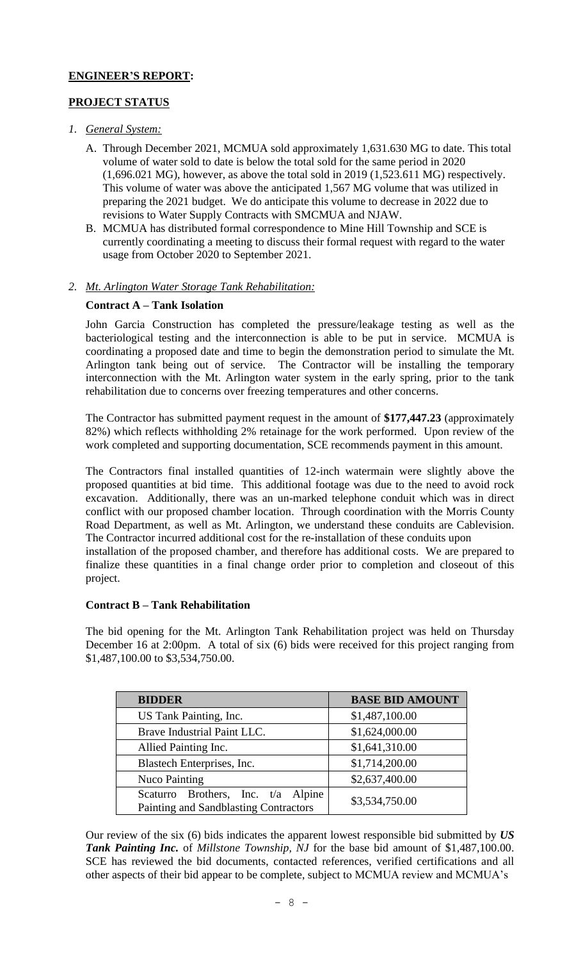# **ENGINEER'S REPORT:**

# **PROJECT STATUS**

- *1. General System:*
	- A. Through December 2021, MCMUA sold approximately 1,631.630 MG to date. This total volume of water sold to date is below the total sold for the same period in 2020 (1,696.021 MG), however, as above the total sold in 2019 (1,523.611 MG) respectively. This volume of water was above the anticipated 1,567 MG volume that was utilized in preparing the 2021 budget. We do anticipate this volume to decrease in 2022 due to revisions to Water Supply Contracts with SMCMUA and NJAW.
	- B. MCMUA has distributed formal correspondence to Mine Hill Township and SCE is currently coordinating a meeting to discuss their formal request with regard to the water usage from October 2020 to September 2021.

# *2. Mt. Arlington Water Storage Tank Rehabilitation:*

## **Contract A – Tank Isolation**

John Garcia Construction has completed the pressure/leakage testing as well as the bacteriological testing and the interconnection is able to be put in service. MCMUA is coordinating a proposed date and time to begin the demonstration period to simulate the Mt. Arlington tank being out of service. The Contractor will be installing the temporary interconnection with the Mt. Arlington water system in the early spring, prior to the tank rehabilitation due to concerns over freezing temperatures and other concerns.

The Contractor has submitted payment request in the amount of **\$177,447.23** (approximately 82%) which reflects withholding 2% retainage for the work performed. Upon review of the work completed and supporting documentation, SCE recommends payment in this amount.

The Contractors final installed quantities of 12-inch watermain were slightly above the proposed quantities at bid time. This additional footage was due to the need to avoid rock excavation. Additionally, there was an un-marked telephone conduit which was in direct conflict with our proposed chamber location. Through coordination with the Morris County Road Department, as well as Mt. Arlington, we understand these conduits are Cablevision. The Contractor incurred additional cost for the re-installation of these conduits upon

installation of the proposed chamber, and therefore has additional costs. We are prepared to finalize these quantities in a final change order prior to completion and closeout of this project.

### **Contract B – Tank Rehabilitation**

The bid opening for the Mt. Arlington Tank Rehabilitation project was held on Thursday December 16 at 2:00pm. A total of six (6) bids were received for this project ranging from \$1,487,100.00 to \$3,534,750.00.

| <b>BIDDER</b>                         | <b>BASE BID AMOUNT</b> |
|---------------------------------------|------------------------|
| US Tank Painting, Inc.                | \$1,487,100.00         |
| Brave Industrial Paint LLC.           | \$1,624,000.00         |
| Allied Painting Inc.                  | \$1,641,310.00         |
| Blastech Enterprises, Inc.            | \$1,714,200.00         |
| <b>Nuco Painting</b>                  | \$2,637,400.00         |
| Scaturro Brothers, Inc. t/a Alpine    | \$3,534,750.00         |
| Painting and Sandblasting Contractors |                        |

Our review of the six (6) bids indicates the apparent lowest responsible bid submitted by *US Tank Painting Inc.* of *Millstone Township, NJ* for the base bid amount of \$1,487,100.00. SCE has reviewed the bid documents, contacted references, verified certifications and all other aspects of their bid appear to be complete, subject to MCMUA review and MCMUA's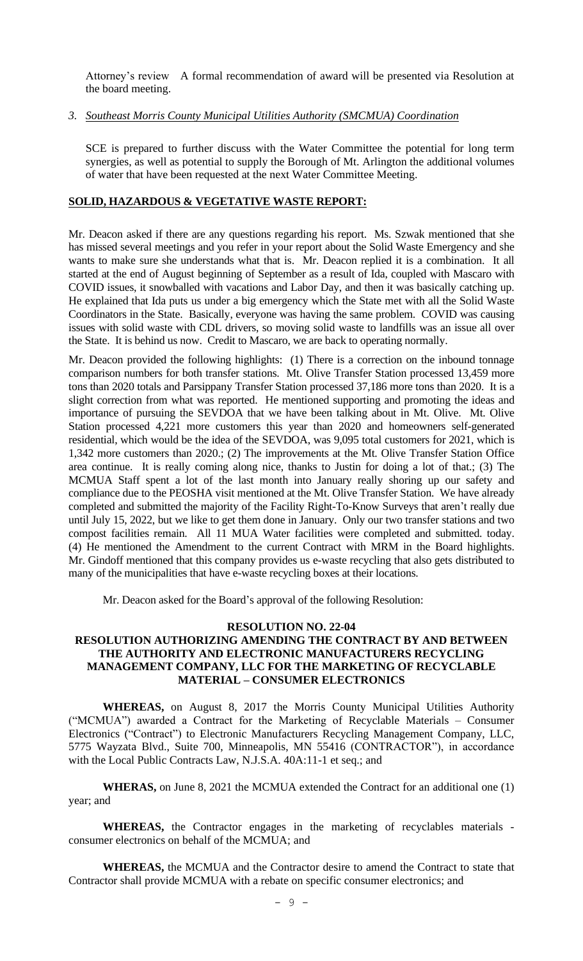Attorney's review A formal recommendation of award will be presented via Resolution at the board meeting.

### *3. Southeast Morris County Municipal Utilities Authority (SMCMUA) Coordination*

SCE is prepared to further discuss with the Water Committee the potential for long term synergies, as well as potential to supply the Borough of Mt. Arlington the additional volumes of water that have been requested at the next Water Committee Meeting.

### **SOLID, HAZARDOUS & VEGETATIVE WASTE REPORT:**

Mr. Deacon asked if there are any questions regarding his report. Ms. Szwak mentioned that she has missed several meetings and you refer in your report about the Solid Waste Emergency and she wants to make sure she understands what that is. Mr. Deacon replied it is a combination. It all started at the end of August beginning of September as a result of Ida, coupled with Mascaro with COVID issues, it snowballed with vacations and Labor Day, and then it was basically catching up. He explained that Ida puts us under a big emergency which the State met with all the Solid Waste Coordinators in the State. Basically, everyone was having the same problem. COVID was causing issues with solid waste with CDL drivers, so moving solid waste to landfills was an issue all over the State. It is behind us now. Credit to Mascaro, we are back to operating normally.

Mr. Deacon provided the following highlights: (1) There is a correction on the inbound tonnage comparison numbers for both transfer stations. Mt. Olive Transfer Station processed 13,459 more tons than 2020 totals and Parsippany Transfer Station processed 37,186 more tons than 2020. It is a slight correction from what was reported. He mentioned supporting and promoting the ideas and importance of pursuing the SEVDOA that we have been talking about in Mt. Olive. Mt. Olive Station processed 4,221 more customers this year than 2020 and homeowners self-generated residential, which would be the idea of the SEVDOA, was 9,095 total customers for 2021, which is 1,342 more customers than 2020.; (2) The improvements at the Mt. Olive Transfer Station Office area continue. It is really coming along nice, thanks to Justin for doing a lot of that.; (3) The MCMUA Staff spent a lot of the last month into January really shoring up our safety and compliance due to the PEOSHA visit mentioned at the Mt. Olive Transfer Station. We have already completed and submitted the majority of the Facility Right-To-Know Surveys that aren't really due until July 15, 2022, but we like to get them done in January. Only our two transfer stations and two compost facilities remain. All 11 MUA Water facilities were completed and submitted. today. (4) He mentioned the Amendment to the current Contract with MRM in the Board highlights. Mr. Gindoff mentioned that this company provides us e-waste recycling that also gets distributed to many of the municipalities that have e-waste recycling boxes at their locations.

Mr. Deacon asked for the Board's approval of the following Resolution:

#### **RESOLUTION NO. 22-04**

# **RESOLUTION AUTHORIZING AMENDING THE CONTRACT BY AND BETWEEN THE AUTHORITY AND ELECTRONIC MANUFACTURERS RECYCLING MANAGEMENT COMPANY, LLC FOR THE MARKETING OF RECYCLABLE MATERIAL – CONSUMER ELECTRONICS**

**WHEREAS,** on August 8, 2017 the Morris County Municipal Utilities Authority ("MCMUA") awarded a Contract for the Marketing of Recyclable Materials – Consumer Electronics ("Contract") to Electronic Manufacturers Recycling Management Company, LLC, 5775 Wayzata Blvd., Suite 700, Minneapolis, MN 55416 (CONTRACTOR"), in accordance with the Local Public Contracts Law, N.J.S.A. 40A:11-1 et seq.; and

**WHERAS,** on June 8, 2021 the MCMUA extended the Contract for an additional one (1) year; and

**WHEREAS,** the Contractor engages in the marketing of recyclables materials consumer electronics on behalf of the MCMUA; and

**WHEREAS,** the MCMUA and the Contractor desire to amend the Contract to state that Contractor shall provide MCMUA with a rebate on specific consumer electronics; and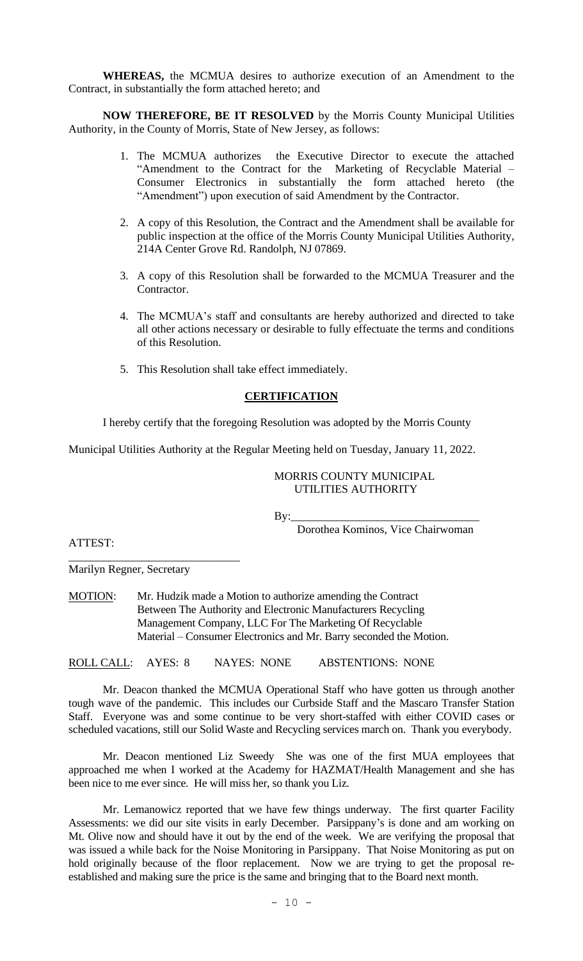**WHEREAS,** the MCMUA desires to authorize execution of an Amendment to the Contract, in substantially the form attached hereto; and

**NOW THEREFORE, BE IT RESOLVED** by the Morris County Municipal Utilities Authority, in the County of Morris, State of New Jersey, as follows:

- 1. The MCMUA authorizes the Executive Director to execute the attached "Amendment to the Contract for the Marketing of Recyclable Material – Consumer Electronics in substantially the form attached hereto (the "Amendment") upon execution of said Amendment by the Contractor.
- 2. A copy of this Resolution, the Contract and the Amendment shall be available for public inspection at the office of the Morris County Municipal Utilities Authority, 214A Center Grove Rd. Randolph, NJ 07869.
- 3. A copy of this Resolution shall be forwarded to the MCMUA Treasurer and the Contractor.
- 4. The MCMUA's staff and consultants are hereby authorized and directed to take all other actions necessary or desirable to fully effectuate the terms and conditions of this Resolution.
- 5. This Resolution shall take effect immediately.

## **CERTIFICATION**

I hereby certify that the foregoing Resolution was adopted by the Morris County

Municipal Utilities Authority at the Regular Meeting held on Tuesday, January 11, 2022.

### MORRIS COUNTY MUNICIPAL UTILITIES AUTHORITY

By:\_\_\_\_\_\_\_\_\_\_\_\_\_\_\_\_\_\_\_\_\_\_\_\_\_\_\_\_\_\_\_\_\_

Dorothea Kominos, Vice Chairwoman

ATTEST:

\_\_\_\_\_\_\_\_\_\_\_\_\_\_\_\_\_\_\_\_\_\_\_\_\_\_\_\_\_\_ Marilyn Regner, Secretary

MOTION: Mr. Hudzik made a Motion to authorize amending the Contract Between The Authority and Electronic Manufacturers Recycling Management Company, LLC For The Marketing Of Recyclable Material – Consumer Electronics and Mr. Barry seconded the Motion.

ROLL CALL: AYES: 8 NAYES: NONE ABSTENTIONS: NONE

Mr. Deacon thanked the MCMUA Operational Staff who have gotten us through another tough wave of the pandemic. This includes our Curbside Staff and the Mascaro Transfer Station Staff. Everyone was and some continue to be very short-staffed with either COVID cases or scheduled vacations, still our Solid Waste and Recycling services march on. Thank you everybody.

Mr. Deacon mentioned Liz Sweedy She was one of the first MUA employees that approached me when I worked at the Academy for HAZMAT/Health Management and she has been nice to me ever since. He will miss her, so thank you Liz.

Mr. Lemanowicz reported that we have few things underway. The first quarter Facility Assessments: we did our site visits in early December. Parsippany's is done and am working on Mt. Olive now and should have it out by the end of the week. We are verifying the proposal that was issued a while back for the Noise Monitoring in Parsippany. That Noise Monitoring as put on hold originally because of the floor replacement. Now we are trying to get the proposal reestablished and making sure the price is the same and bringing that to the Board next month.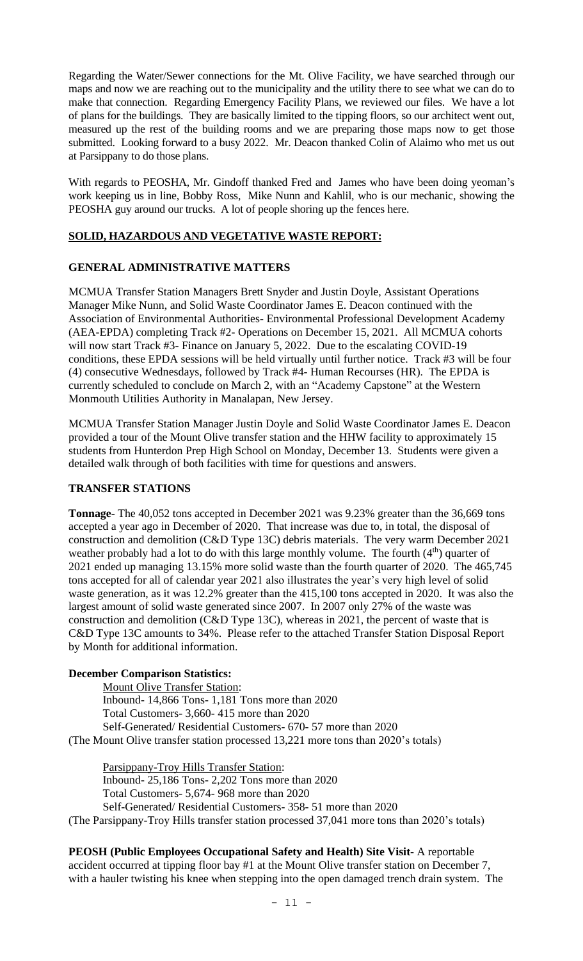Regarding the Water/Sewer connections for the Mt. Olive Facility, we have searched through our maps and now we are reaching out to the municipality and the utility there to see what we can do to make that connection. Regarding Emergency Facility Plans, we reviewed our files. We have a lot of plans for the buildings. They are basically limited to the tipping floors, so our architect went out, measured up the rest of the building rooms and we are preparing those maps now to get those submitted. Looking forward to a busy 2022. Mr. Deacon thanked Colin of Alaimo who met us out at Parsippany to do those plans.

With regards to PEOSHA, Mr. Gindoff thanked Fred and James who have been doing yeoman's work keeping us in line, Bobby Ross, Mike Nunn and Kahlil, who is our mechanic, showing the PEOSHA guy around our trucks. A lot of people shoring up the fences here.

# **SOLID, HAZARDOUS AND VEGETATIVE WASTE REPORT:**

# **GENERAL ADMINISTRATIVE MATTERS**

MCMUA Transfer Station Managers Brett Snyder and Justin Doyle, Assistant Operations Manager Mike Nunn, and Solid Waste Coordinator James E. Deacon continued with the Association of Environmental Authorities- Environmental Professional Development Academy (AEA-EPDA) completing Track #2- Operations on December 15, 2021. All MCMUA cohorts will now start Track #3- Finance on January 5, 2022. Due to the escalating COVID-19 conditions, these EPDA sessions will be held virtually until further notice. Track #3 will be four (4) consecutive Wednesdays, followed by Track #4- Human Recourses (HR). The EPDA is currently scheduled to conclude on March 2, with an "Academy Capstone" at the Western Monmouth Utilities Authority in Manalapan, New Jersey.

MCMUA Transfer Station Manager Justin Doyle and Solid Waste Coordinator James E. Deacon provided a tour of the Mount Olive transfer station and the HHW facility to approximately 15 students from Hunterdon Prep High School on Monday, December 13. Students were given a detailed walk through of both facilities with time for questions and answers.

### **TRANSFER STATIONS**

**Tonnage-** The 40,052 tons accepted in December 2021 was 9.23% greater than the 36,669 tons accepted a year ago in December of 2020. That increase was due to, in total, the disposal of construction and demolition (C&D Type 13C) debris materials. The very warm December 2021 weather probably had a lot to do with this large monthly volume. The fourth  $(4<sup>th</sup>)$  quarter of 2021 ended up managing 13.15% more solid waste than the fourth quarter of 2020. The 465,745 tons accepted for all of calendar year 2021 also illustrates the year's very high level of solid waste generation, as it was 12.2% greater than the 415,100 tons accepted in 2020. It was also the largest amount of solid waste generated since 2007. In 2007 only 27% of the waste was construction and demolition (C&D Type 13C), whereas in 2021, the percent of waste that is C&D Type 13C amounts to 34%. Please refer to the attached Transfer Station Disposal Report by Month for additional information.

### **December Comparison Statistics:**

 Mount Olive Transfer Station: Inbound- 14,866 Tons- 1,181 Tons more than 2020 Total Customers- 3,660- 415 more than 2020 Self-Generated/ Residential Customers- 670- 57 more than 2020 (The Mount Olive transfer station processed 13,221 more tons than 2020's totals)

 Parsippany-Troy Hills Transfer Station: Inbound- 25,186 Tons- 2,202 Tons more than 2020 Total Customers- 5,674- 968 more than 2020 Self-Generated/ Residential Customers- 358- 51 more than 2020 (The Parsippany-Troy Hills transfer station processed 37,041 more tons than 2020's totals)

**PEOSH (Public Employees Occupational Safety and Health) Site Visit-** A reportable accident occurred at tipping floor bay #1 at the Mount Olive transfer station on December 7, with a hauler twisting his knee when stepping into the open damaged trench drain system. The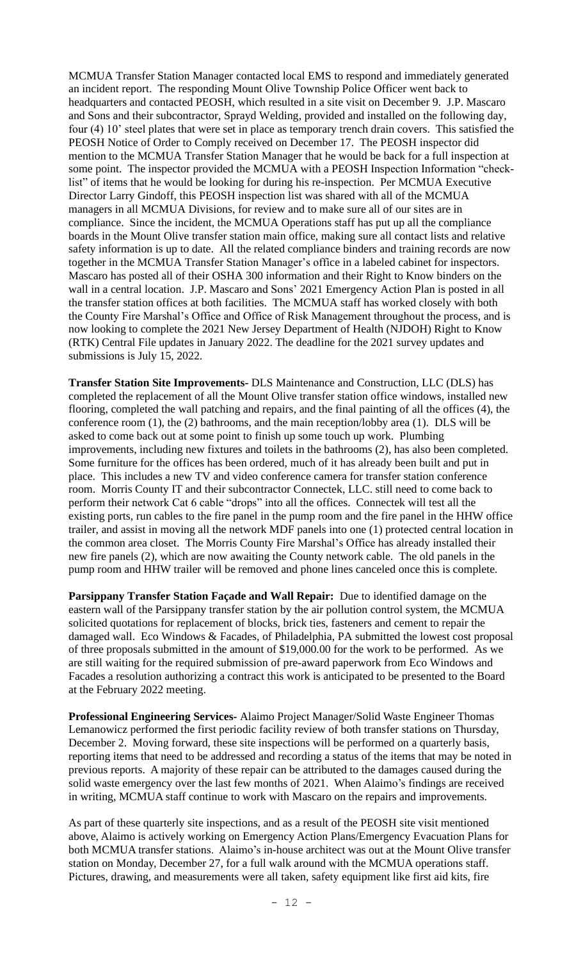MCMUA Transfer Station Manager contacted local EMS to respond and immediately generated an incident report. The responding Mount Olive Township Police Officer went back to headquarters and contacted PEOSH, which resulted in a site visit on December 9. J.P. Mascaro and Sons and their subcontractor, Sprayd Welding, provided and installed on the following day, four (4) 10' steel plates that were set in place as temporary trench drain covers. This satisfied the PEOSH Notice of Order to Comply received on December 17. The PEOSH inspector did mention to the MCMUA Transfer Station Manager that he would be back for a full inspection at some point. The inspector provided the MCMUA with a PEOSH Inspection Information "checklist" of items that he would be looking for during his re-inspection. Per MCMUA Executive Director Larry Gindoff, this PEOSH inspection list was shared with all of the MCMUA managers in all MCMUA Divisions, for review and to make sure all of our sites are in compliance. Since the incident, the MCMUA Operations staff has put up all the compliance boards in the Mount Olive transfer station main office, making sure all contact lists and relative safety information is up to date. All the related compliance binders and training records are now together in the MCMUA Transfer Station Manager's office in a labeled cabinet for inspectors. Mascaro has posted all of their OSHA 300 information and their Right to Know binders on the wall in a central location. J.P. Mascaro and Sons' 2021 Emergency Action Plan is posted in all the transfer station offices at both facilities. The MCMUA staff has worked closely with both the County Fire Marshal's Office and Office of Risk Management throughout the process, and is now looking to complete the 2021 New Jersey Department of Health (NJDOH) Right to Know (RTK) Central File updates in January 2022. The deadline for the 2021 survey updates and submissions is July 15, 2022.

**Transfer Station Site Improvements-** DLS Maintenance and Construction, LLC (DLS) has completed the replacement of all the Mount Olive transfer station office windows, installed new flooring, completed the wall patching and repairs, and the final painting of all the offices (4), the conference room (1), the (2) bathrooms, and the main reception/lobby area (1). DLS will be asked to come back out at some point to finish up some touch up work. Plumbing improvements, including new fixtures and toilets in the bathrooms (2), has also been completed. Some furniture for the offices has been ordered, much of it has already been built and put in place. This includes a new TV and video conference camera for transfer station conference room. Morris County IT and their subcontractor Connectek, LLC. still need to come back to perform their network Cat 6 cable "drops" into all the offices. Connectek will test all the existing ports, run cables to the fire panel in the pump room and the fire panel in the HHW office trailer, and assist in moving all the network MDF panels into one (1) protected central location in the common area closet. The Morris County Fire Marshal's Office has already installed their new fire panels (2), which are now awaiting the County network cable. The old panels in the pump room and HHW trailer will be removed and phone lines canceled once this is complete.

**Parsippany Transfer Station Façade and Wall Repair:** Due to identified damage on the eastern wall of the Parsippany transfer station by the air pollution control system, the MCMUA solicited quotations for replacement of blocks, brick ties, fasteners and cement to repair the damaged wall. Eco Windows & Facades, of Philadelphia, PA submitted the lowest cost proposal of three proposals submitted in the amount of \$19,000.00 for the work to be performed. As we are still waiting for the required submission of pre-award paperwork from Eco Windows and Facades a resolution authorizing a contract this work is anticipated to be presented to the Board at the February 2022 meeting.

**Professional Engineering Services-** Alaimo Project Manager/Solid Waste Engineer Thomas Lemanowicz performed the first periodic facility review of both transfer stations on Thursday, December 2. Moving forward, these site inspections will be performed on a quarterly basis, reporting items that need to be addressed and recording a status of the items that may be noted in previous reports. A majority of these repair can be attributed to the damages caused during the solid waste emergency over the last few months of 2021. When Alaimo's findings are received in writing, MCMUA staff continue to work with Mascaro on the repairs and improvements.

As part of these quarterly site inspections, and as a result of the PEOSH site visit mentioned above, Alaimo is actively working on Emergency Action Plans/Emergency Evacuation Plans for both MCMUA transfer stations. Alaimo's in-house architect was out at the Mount Olive transfer station on Monday, December 27, for a full walk around with the MCMUA operations staff. Pictures, drawing, and measurements were all taken, safety equipment like first aid kits, fire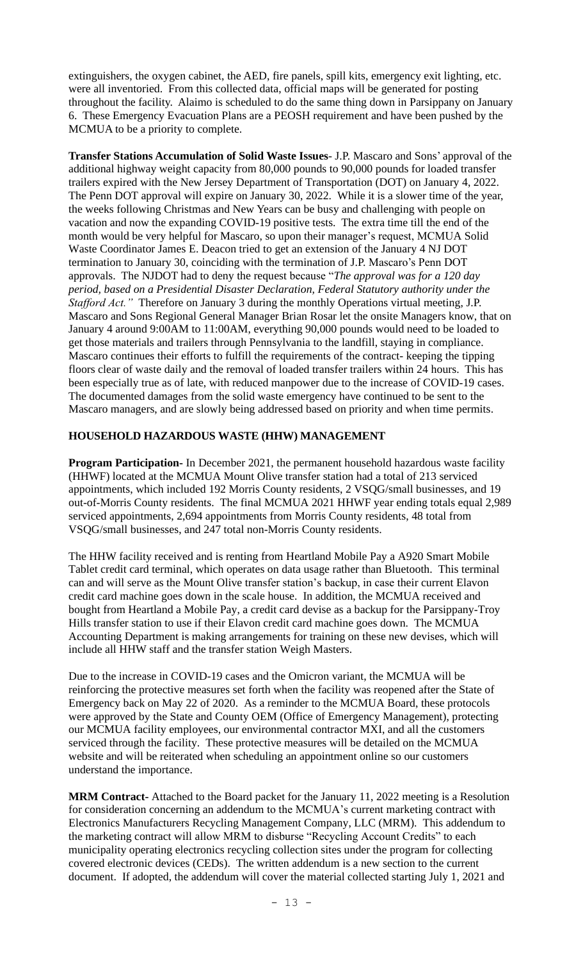extinguishers, the oxygen cabinet, the AED, fire panels, spill kits, emergency exit lighting, etc. were all inventoried. From this collected data, official maps will be generated for posting throughout the facility. Alaimo is scheduled to do the same thing down in Parsippany on January 6. These Emergency Evacuation Plans are a PEOSH requirement and have been pushed by the MCMUA to be a priority to complete.

**Transfer Stations Accumulation of Solid Waste Issues**- J.P. Mascaro and Sons' approval of the additional highway weight capacity from 80,000 pounds to 90,000 pounds for loaded transfer trailers expired with the New Jersey Department of Transportation (DOT) on January 4, 2022. The Penn DOT approval will expire on January 30, 2022. While it is a slower time of the year, the weeks following Christmas and New Years can be busy and challenging with people on vacation and now the expanding COVID-19 positive tests. The extra time till the end of the month would be very helpful for Mascaro, so upon their manager's request, MCMUA Solid Waste Coordinator James E. Deacon tried to get an extension of the January 4 NJ DOT termination to January 30, coinciding with the termination of J.P. Mascaro's Penn DOT approvals. The NJDOT had to deny the request because "*The approval was for a 120 day period, based on a Presidential Disaster Declaration, Federal Statutory authority under the Stafford Act."* Therefore on January 3 during the monthly Operations virtual meeting, J.P. Mascaro and Sons Regional General Manager Brian Rosar let the onsite Managers know, that on January 4 around 9:00AM to 11:00AM, everything 90,000 pounds would need to be loaded to get those materials and trailers through Pennsylvania to the landfill, staying in compliance. Mascaro continues their efforts to fulfill the requirements of the contract- keeping the tipping floors clear of waste daily and the removal of loaded transfer trailers within 24 hours. This has been especially true as of late, with reduced manpower due to the increase of COVID-19 cases. The documented damages from the solid waste emergency have continued to be sent to the Mascaro managers, and are slowly being addressed based on priority and when time permits.

# **HOUSEHOLD HAZARDOUS WASTE (HHW) MANAGEMENT**

**Program Participation-** In December 2021, the permanent household hazardous waste facility (HHWF) located at the MCMUA Mount Olive transfer station had a total of 213 serviced appointments, which included 192 Morris County residents, 2 VSQG/small businesses, and 19 out-of-Morris County residents. The final MCMUA 2021 HHWF year ending totals equal 2,989 serviced appointments, 2,694 appointments from Morris County residents, 48 total from VSQG/small businesses, and 247 total non-Morris County residents.

The HHW facility received and is renting from Heartland Mobile Pay a A920 Smart Mobile Tablet credit card terminal, which operates on data usage rather than Bluetooth. This terminal can and will serve as the Mount Olive transfer station's backup, in case their current Elavon credit card machine goes down in the scale house. In addition, the MCMUA received and bought from Heartland a Mobile Pay, a credit card devise as a backup for the Parsippany-Troy Hills transfer station to use if their Elavon credit card machine goes down. The MCMUA Accounting Department is making arrangements for training on these new devises, which will include all HHW staff and the transfer station Weigh Masters.

Due to the increase in COVID-19 cases and the Omicron variant, the MCMUA will be reinforcing the protective measures set forth when the facility was reopened after the State of Emergency back on May 22 of 2020. As a reminder to the MCMUA Board, these protocols were approved by the State and County OEM (Office of Emergency Management), protecting our MCMUA facility employees, our environmental contractor MXI, and all the customers serviced through the facility. These protective measures will be detailed on the MCMUA website and will be reiterated when scheduling an appointment online so our customers understand the importance.

**MRM Contract-** Attached to the Board packet for the January 11, 2022 meeting is a Resolution for consideration concerning an addendum to the MCMUA's current marketing contract with Electronics Manufacturers Recycling Management Company, LLC (MRM). This addendum to the marketing contract will allow MRM to disburse "Recycling Account Credits" to each municipality operating electronics recycling collection sites under the program for collecting covered electronic devices (CEDs). The written addendum is a new section to the current document. If adopted, the addendum will cover the material collected starting July 1, 2021 and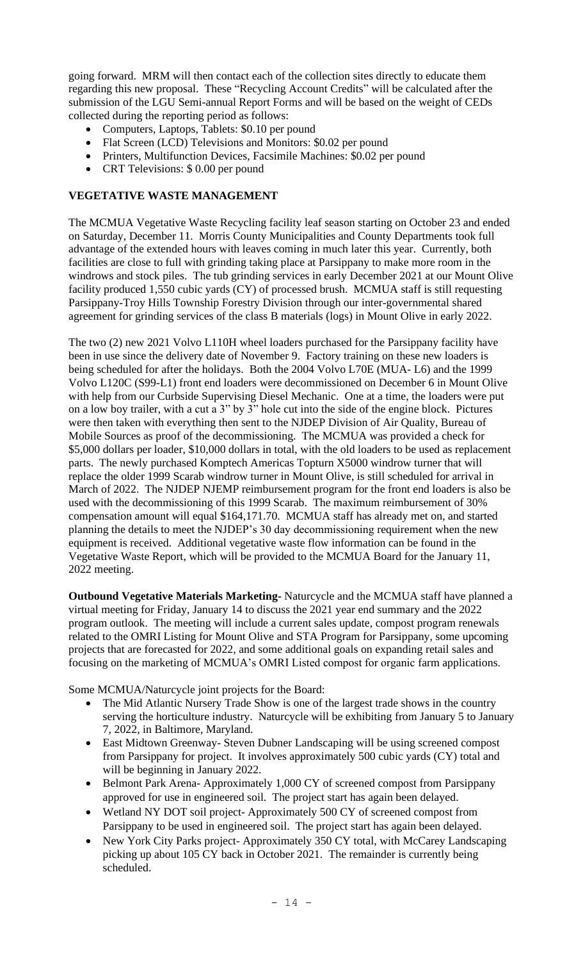going forward. MRM will then contact each of the collection sites directly to educate them regarding this new proposal. These "Recycling Account Credits" will be calculated after the submission of the LGU Semi-annual Report Forms and will be based on the weight of CEDs collected during the reporting period as follows:

- Computers, Laptops, Tablets: \$0.10 per pound
- Flat Screen (LCD) Televisions and Monitors: \$0.02 per pound
- Printers, Multifunction Devices, Facsimile Machines: \$0.02 per pound
- CRT Televisions: \$ 0.00 per pound

## **VEGETATIVE WASTE MANAGEMENT**

The MCMUA Vegetative Waste Recycling facility leaf season starting on October 23 and ended on Saturday, December 11. Morris County Municipalities and County Departments took full advantage of the extended hours with leaves coming in much later this year. Currently, both facilities are close to full with grinding taking place at Parsippany to make more room in the windrows and stock piles. The tub grinding services in early December 2021 at our Mount Olive facility produced 1,550 cubic yards (CY) of processed brush. MCMUA staff is still requesting Parsippany-Troy Hills Township Forestry Division through our inter-governmental shared agreement for grinding services of the class B materials (logs) in Mount Olive in early 2022.

The two (2) new 2021 Volvo L110H wheel loaders purchased for the Parsippany facility have been in use since the delivery date of November 9. Factory training on these new loaders is being scheduled for after the holidays. Both the 2004 Volvo L70E (MUA- L6) and the 1999 Volvo L120C (S99-L1) front end loaders were decommissioned on December 6 in Mount Olive with help from our Curbside Supervising Diesel Mechanic. One at a time, the loaders were put on a low boy trailer, with a cut a 3" by 3" hole cut into the side of the engine block. Pictures were then taken with everything then sent to the NJDEP Division of Air Quality, Bureau of Mobile Sources as proof of the decommissioning. The MCMUA was provided a check for \$5,000 dollars per loader, \$10,000 dollars in total, with the old loaders to be used as replacement parts. The newly purchased Komptech Americas Topturn X5000 windrow turner that will replace the older 1999 Scarab windrow turner in Mount Olive, is still scheduled for arrival in March of 2022. The NJDEP NJEMP reimbursement program for the front end loaders is also be used with the decommissioning of this 1999 Scarab. The maximum reimbursement of 30% compensation amount will equal \$164,171.70. MCMUA staff has already met on, and started planning the details to meet the NJDEP's 30 day decommissioning requirement when the new equipment is received. Additional vegetative waste flow information can be found in the Vegetative Waste Report, which will be provided to the MCMUA Board for the January 11, 2022 meeting.

**Outbound Vegetative Materials Marketing-** Naturcycle and the MCMUA staff have planned a virtual meeting for Friday, January 14 to discuss the 2021 year end summary and the 2022 program outlook. The meeting will include a current sales update, compost program renewals related to the OMRI Listing for Mount Olive and STA Program for Parsippany, some upcoming projects that are forecasted for 2022, and some additional goals on expanding retail sales and focusing on the marketing of MCMUA's OMRI Listed compost for organic farm applications.

Some MCMUA/Naturcycle joint projects for the Board:

- The Mid Atlantic Nursery Trade Show is one of the largest trade shows in the country serving the horticulture industry. Naturcycle will be exhibiting from January 5 to January 7, 2022, in Baltimore, Maryland.
- East Midtown Greenway- Steven Dubner Landscaping will be using screened compost from Parsippany for project. It involves approximately 500 cubic yards (CY) total and will be beginning in January 2022.
- Belmont Park Arena- Approximately 1,000 CY of screened compost from Parsippany approved for use in engineered soil. The project start has again been delayed.
- Wetland NY DOT soil project- Approximately 500 CY of screened compost from Parsippany to be used in engineered soil. The project start has again been delayed.
- New York City Parks project- Approximately 350 CY total, with McCarey Landscaping picking up about 105 CY back in October 2021. The remainder is currently being scheduled.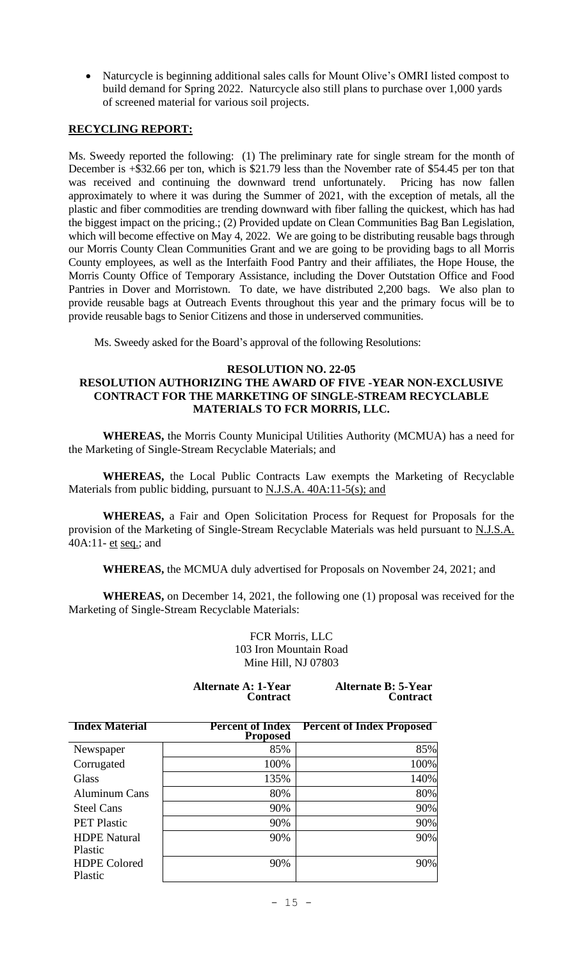• Naturcycle is beginning additional sales calls for Mount Olive's OMRI listed compost to build demand for Spring 2022. Naturcycle also still plans to purchase over 1,000 yards of screened material for various soil projects.

## **RECYCLING REPORT:**

Ms. Sweedy reported the following: (1) The preliminary rate for single stream for the month of December is +\$32.66 per ton, which is \$21.79 less than the November rate of \$54.45 per ton that was received and continuing the downward trend unfortunately. Pricing has now fallen approximately to where it was during the Summer of 2021, with the exception of metals, all the plastic and fiber commodities are trending downward with fiber falling the quickest, which has had the biggest impact on the pricing.; (2) Provided update on Clean Communities Bag Ban Legislation, which will become effective on May 4, 2022. We are going to be distributing reusable bags through our Morris County Clean Communities Grant and we are going to be providing bags to all Morris County employees, as well as the Interfaith Food Pantry and their affiliates, the Hope House, the Morris County Office of Temporary Assistance, including the Dover Outstation Office and Food Pantries in Dover and Morristown. To date, we have distributed 2,200 bags. We also plan to provide reusable bags at Outreach Events throughout this year and the primary focus will be to provide reusable bags to Senior Citizens and those in underserved communities.

Ms. Sweedy asked for the Board's approval of the following Resolutions:

# **RESOLUTION NO. 22-05**

## **RESOLUTION AUTHORIZING THE AWARD OF FIVE -YEAR NON-EXCLUSIVE CONTRACT FOR THE MARKETING OF SINGLE-STREAM RECYCLABLE MATERIALS TO FCR MORRIS, LLC.**

**WHEREAS,** the Morris County Municipal Utilities Authority (MCMUA) has a need for the Marketing of Single-Stream Recyclable Materials; and

**WHEREAS,** the Local Public Contracts Law exempts the Marketing of Recyclable Materials from public bidding, pursuant to N.J.S.A. 40A:11-5(s); and

**WHEREAS,** a Fair and Open Solicitation Process for Request for Proposals for the provision of the Marketing of Single-Stream Recyclable Materials was held pursuant to N.J.S.A. 40A:11- et seq.; and

**WHEREAS,** the MCMUA duly advertised for Proposals on November 24, 2021; and

**WHEREAS,** on December 14, 2021, the following one (1) proposal was received for the Marketing of Single-Stream Recyclable Materials:

> FCR Morris, LLC 103 Iron Mountain Road Mine Hill, NJ 07803

**Alternate A: 1-Year Contract**  **Alternate B: 5-Year Contract**

| <b>Index Material</b>          | <b>Percent of Index</b><br><b>Proposed</b> | <b>Percent of Index Proposed</b> |
|--------------------------------|--------------------------------------------|----------------------------------|
| Newspaper                      | 85%                                        | 85%                              |
| Corrugated                     | 100%                                       | 100%                             |
| <b>Glass</b>                   | 135%                                       | 140%                             |
| <b>Aluminum Cans</b>           | 80%                                        | 80%                              |
| <b>Steel Cans</b>              | 90%                                        | 90%                              |
| <b>PET Plastic</b>             | 90%                                        | 90%                              |
| <b>HDPE</b> Natural<br>Plastic | 90%                                        | 90%                              |
| <b>HDPE Colored</b><br>Plastic | 90%                                        | 90%                              |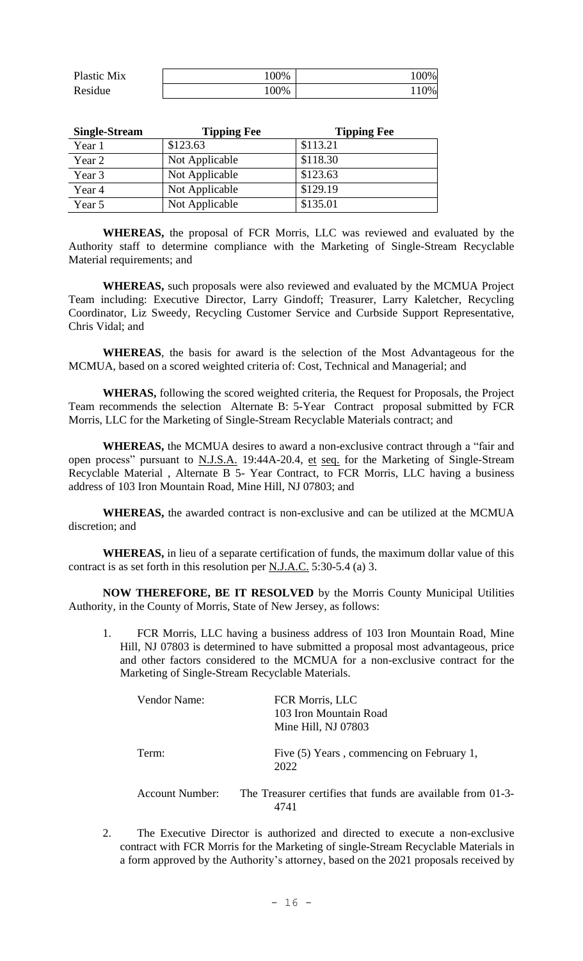| Plastic Mix | 100% | 100% |
|-------------|------|------|
| Residue     | 100% | 10%  |

| <b>Single-Stream</b> | <b>Tipping Fee</b> | <b>Tipping Fee</b> |
|----------------------|--------------------|--------------------|
| Year 1               | \$123.63           | \$113.21           |
| Year 2               | Not Applicable     | \$118.30           |
| Year 3               | Not Applicable     | \$123.63           |
| Year 4               | Not Applicable     | \$129.19           |
| Year 5               | Not Applicable     | \$135.01           |

**WHEREAS,** the proposal of FCR Morris, LLC was reviewed and evaluated by the Authority staff to determine compliance with the Marketing of Single-Stream Recyclable Material requirements; and

**WHEREAS,** such proposals were also reviewed and evaluated by the MCMUA Project Team including: Executive Director, Larry Gindoff; Treasurer, Larry Kaletcher, Recycling Coordinator, Liz Sweedy, Recycling Customer Service and Curbside Support Representative, Chris Vidal; and

**WHEREAS**, the basis for award is the selection of the Most Advantageous for the MCMUA, based on a scored weighted criteria of: Cost, Technical and Managerial; and

**WHERAS,** following the scored weighted criteria, the Request for Proposals, the Project Team recommends the selection Alternate B: 5-Year Contract proposal submitted by FCR Morris, LLC for the Marketing of Single-Stream Recyclable Materials contract; and

**WHEREAS,** the MCMUA desires to award a non-exclusive contract through a "fair and open process" pursuant to N.J.S.A. 19:44A-20.4, et seq. for the Marketing of Single-Stream Recyclable Material , Alternate B 5- Year Contract, to FCR Morris, LLC having a business address of 103 Iron Mountain Road, Mine Hill, NJ 07803; and

**WHEREAS,** the awarded contract is non-exclusive and can be utilized at the MCMUA discretion; and

**WHEREAS,** in lieu of a separate certification of funds, the maximum dollar value of this contract is as set forth in this resolution per N.J.A.C. 5:30-5.4 (a) 3.

**NOW THEREFORE, BE IT RESOLVED** by the Morris County Municipal Utilities Authority, in the County of Morris, State of New Jersey, as follows:

1. FCR Morris, LLC having a business address of 103 Iron Mountain Road, Mine Hill, NJ 07803 is determined to have submitted a proposal most advantageous, price and other factors considered to the MCMUA for a non-exclusive contract for the Marketing of Single-Stream Recyclable Materials.

| <b>Vendor Name:</b> | FCR Morris, LLC<br>103 Iron Mountain Road<br>Mine Hill, NJ 07803 |
|---------------------|------------------------------------------------------------------|
| Term:               | Five (5) Years, commencing on February 1,<br>2022                |
| Account Number:     | The Treasurer certifies that funds are available from 01-3-      |

2. The Executive Director is authorized and directed to execute a non-exclusive contract with FCR Morris for the Marketing of single-Stream Recyclable Materials in a form approved by the Authority's attorney, based on the 2021 proposals received by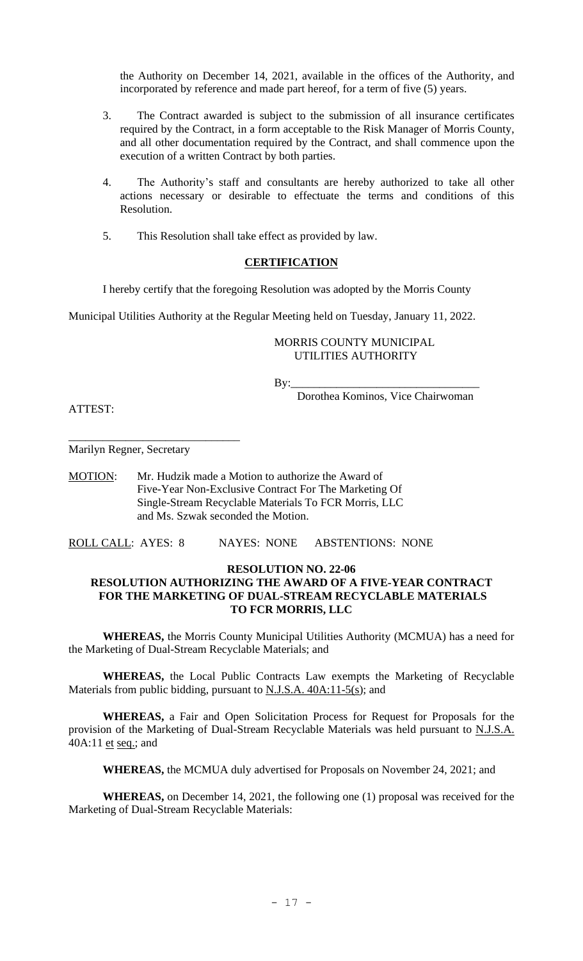the Authority on December 14, 2021, available in the offices of the Authority, and incorporated by reference and made part hereof, for a term of five (5) years.

- 3. The Contract awarded is subject to the submission of all insurance certificates required by the Contract, in a form acceptable to the Risk Manager of Morris County, and all other documentation required by the Contract, and shall commence upon the execution of a written Contract by both parties.
- 4. The Authority's staff and consultants are hereby authorized to take all other actions necessary or desirable to effectuate the terms and conditions of this Resolution.
- 5. This Resolution shall take effect as provided by law.

### **CERTIFICATION**

I hereby certify that the foregoing Resolution was adopted by the Morris County

Municipal Utilities Authority at the Regular Meeting held on Tuesday, January 11, 2022.

#### MORRIS COUNTY MUNICIPAL UTILITIES AUTHORITY

By:\_\_\_\_\_\_\_\_\_\_\_\_\_\_\_\_\_\_\_\_\_\_\_\_\_\_\_\_\_\_\_\_\_

Dorothea Kominos, Vice Chairwoman

ATTEST:

Marilyn Regner, Secretary

\_\_\_\_\_\_\_\_\_\_\_\_\_\_\_\_\_\_\_\_\_\_\_\_\_\_\_\_\_\_

MOTION: Mr. Hudzik made a Motion to authorize the Award of Five-Year Non-Exclusive Contract For The Marketing Of Single-Stream Recyclable Materials To FCR Morris, LLC and Ms. Szwak seconded the Motion.

ROLL CALL: AYES: 8 NAYES: NONE ABSTENTIONS: NONE

### **RESOLUTION NO. 22-06**

## **RESOLUTION AUTHORIZING THE AWARD OF A FIVE-YEAR CONTRACT FOR THE MARKETING OF DUAL-STREAM RECYCLABLE MATERIALS TO FCR MORRIS, LLC**

**WHEREAS,** the Morris County Municipal Utilities Authority (MCMUA) has a need for the Marketing of Dual-Stream Recyclable Materials; and

**WHEREAS,** the Local Public Contracts Law exempts the Marketing of Recyclable Materials from public bidding, pursuant to N.J.S.A. 40A:11-5(s); and

**WHEREAS,** a Fair and Open Solicitation Process for Request for Proposals for the provision of the Marketing of Dual-Stream Recyclable Materials was held pursuant to N.J.S.A. 40A:11 et seq.; and

**WHEREAS,** the MCMUA duly advertised for Proposals on November 24, 2021; and

**WHEREAS,** on December 14, 2021, the following one (1) proposal was received for the Marketing of Dual-Stream Recyclable Materials: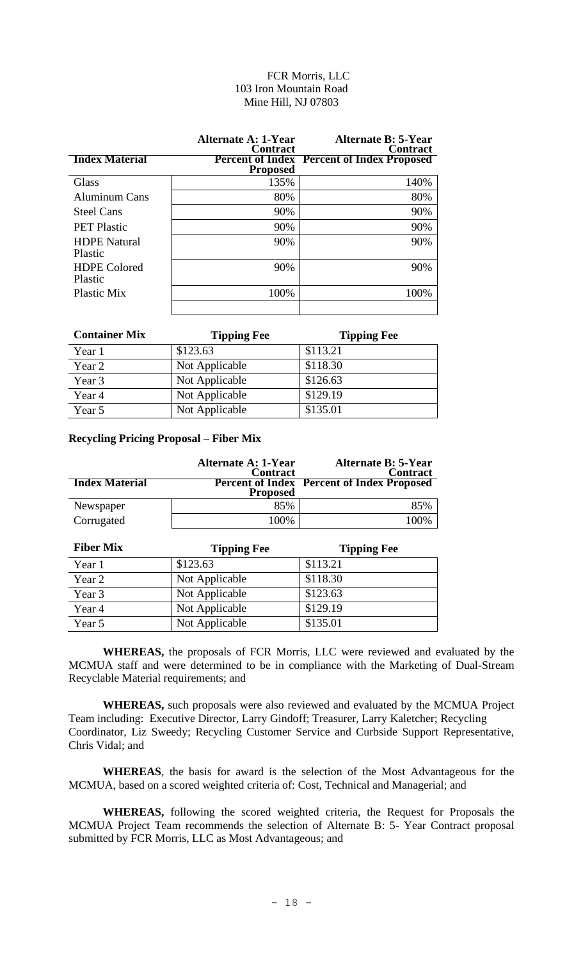## FCR Morris, LLC 103 Iron Mountain Road Mine Hill, NJ 07803

|                                | <b>Alternate A: 1-Year</b><br><b>Contract</b> | <b>Alternate B: 5-Year</b><br><b>Contract</b>     |
|--------------------------------|-----------------------------------------------|---------------------------------------------------|
| <b>Index Material</b>          | <b>Proposed</b>                               | <b>Percent of Index Percent of Index Proposed</b> |
| <b>Glass</b>                   | 135%                                          | 140%                                              |
| <b>Aluminum Cans</b>           | 80%                                           | 80%                                               |
| <b>Steel Cans</b>              | 90%                                           | 90%                                               |
| <b>PET Plastic</b>             | 90%                                           | 90%                                               |
| <b>HDPE</b> Natural<br>Plastic | 90%                                           | 90%                                               |
| <b>HDPE</b> Colored<br>Plastic | 90%                                           | 90%                                               |
| Plastic Mix                    | 100%                                          | 100%                                              |

| <b>Container Mix</b> | <b>Tipping Fee</b> | <b>Tipping Fee</b> |
|----------------------|--------------------|--------------------|
| Year 1               | \$123.63           | \$113.21           |
| Year 2               | Not Applicable     | \$118.30           |
| Year 3               | Not Applicable     | \$126.63           |
| Year 4               | Not Applicable     | \$129.19           |
| Year 5               | Not Applicable     | \$135.01           |

## **Recycling Pricing Proposal – Fiber Mix**

|                       | <b>Alternate A: 1-Year</b><br><b>Contract</b> | <b>Alternate B: 5-Year</b><br><b>Contract</b>     |
|-----------------------|-----------------------------------------------|---------------------------------------------------|
| <b>Index Material</b> | <b>Proposed</b>                               | <b>Percent of Index Percent of Index Proposed</b> |
| Newspaper             | 85%                                           | 85%                                               |
| Corrugated            | 100%                                          | 100%                                              |

| <b>Fiber Mix</b> | <b>Tipping Fee</b> | <b>Tipping Fee</b> |
|------------------|--------------------|--------------------|
| Year 1           | \$123.63           | \$113.21           |
| Year 2           | Not Applicable     | \$118.30           |
| Year 3           | Not Applicable     | \$123.63           |
| Year 4           | Not Applicable     | \$129.19           |
| Year 5           | Not Applicable     | \$135.01           |

**WHEREAS,** the proposals of FCR Morris, LLC were reviewed and evaluated by the MCMUA staff and were determined to be in compliance with the Marketing of Dual-Stream Recyclable Material requirements; and

**WHEREAS,** such proposals were also reviewed and evaluated by the MCMUA Project Team including: Executive Director, Larry Gindoff; Treasurer, Larry Kaletcher; Recycling Coordinator, Liz Sweedy; Recycling Customer Service and Curbside Support Representative, Chris Vidal; and

**WHEREAS**, the basis for award is the selection of the Most Advantageous for the MCMUA, based on a scored weighted criteria of: Cost, Technical and Managerial; and

**WHEREAS,** following the scored weighted criteria, the Request for Proposals the MCMUA Project Team recommends the selection of Alternate B: 5- Year Contract proposal submitted by FCR Morris, LLC as Most Advantageous; and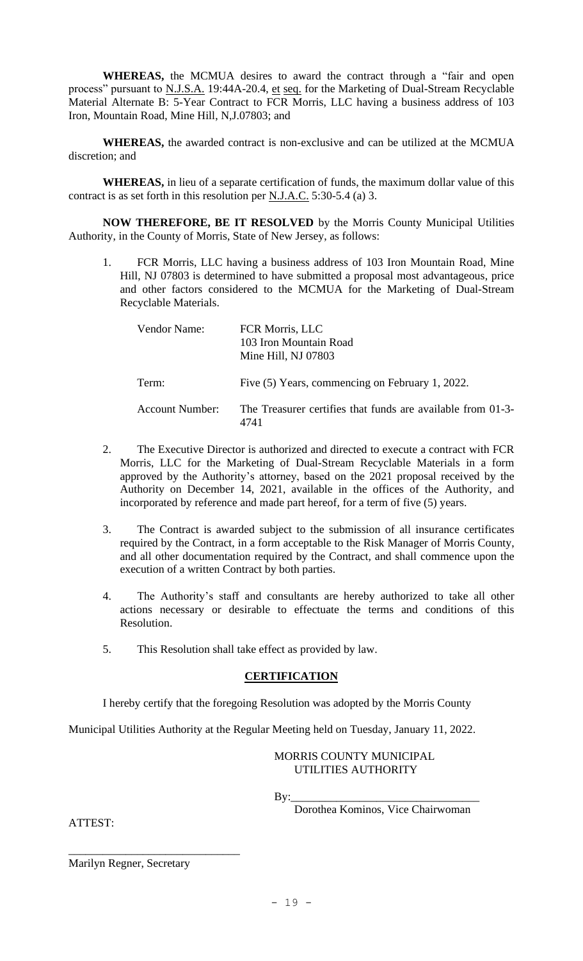**WHEREAS,** the MCMUA desires to award the contract through a "fair and open process" pursuant to N.J.S.A. 19:44A-20.4, et seq. for the Marketing of Dual-Stream Recyclable Material Alternate B: 5-Year Contract to FCR Morris, LLC having a business address of 103 Iron, Mountain Road, Mine Hill, N,J.07803; and

**WHEREAS,** the awarded contract is non-exclusive and can be utilized at the MCMUA discretion; and

**WHEREAS,** in lieu of a separate certification of funds, the maximum dollar value of this contract is as set forth in this resolution per N.J.A.C. 5:30-5.4 (a) 3.

**NOW THEREFORE, BE IT RESOLVED** by the Morris County Municipal Utilities Authority, in the County of Morris, State of New Jersey, as follows:

1. FCR Morris, LLC having a business address of 103 Iron Mountain Road, Mine Hill, NJ 07803 is determined to have submitted a proposal most advantageous, price and other factors considered to the MCMUA for the Marketing of Dual-Stream Recyclable Materials.

| Vendor Name:           | FCR Morris, LLC<br>103 Iron Mountain Road<br>Mine Hill, NJ 07803    |
|------------------------|---------------------------------------------------------------------|
| Term:                  | Five (5) Years, commencing on February 1, 2022.                     |
| <b>Account Number:</b> | The Treasurer certifies that funds are available from 01-3-<br>4741 |

- 2. The Executive Director is authorized and directed to execute a contract with FCR Morris, LLC for the Marketing of Dual-Stream Recyclable Materials in a form approved by the Authority's attorney, based on the 2021 proposal received by the Authority on December 14, 2021, available in the offices of the Authority, and incorporated by reference and made part hereof, for a term of five (5) years.
- 3. The Contract is awarded subject to the submission of all insurance certificates required by the Contract, in a form acceptable to the Risk Manager of Morris County, and all other documentation required by the Contract, and shall commence upon the execution of a written Contract by both parties.
- 4. The Authority's staff and consultants are hereby authorized to take all other actions necessary or desirable to effectuate the terms and conditions of this Resolution.
- 5. This Resolution shall take effect as provided by law.

### **CERTIFICATION**

I hereby certify that the foregoing Resolution was adopted by the Morris County

Municipal Utilities Authority at the Regular Meeting held on Tuesday, January 11, 2022.

### MORRIS COUNTY MUNICIPAL UTILITIES AUTHORITY

By:\_\_\_\_\_\_\_\_\_\_\_\_\_\_\_\_\_\_\_\_\_\_\_\_\_\_\_\_\_\_\_\_\_

Dorothea Kominos, Vice Chairwoman

ATTEST:

Marilyn Regner, Secretary

\_\_\_\_\_\_\_\_\_\_\_\_\_\_\_\_\_\_\_\_\_\_\_\_\_\_\_\_\_\_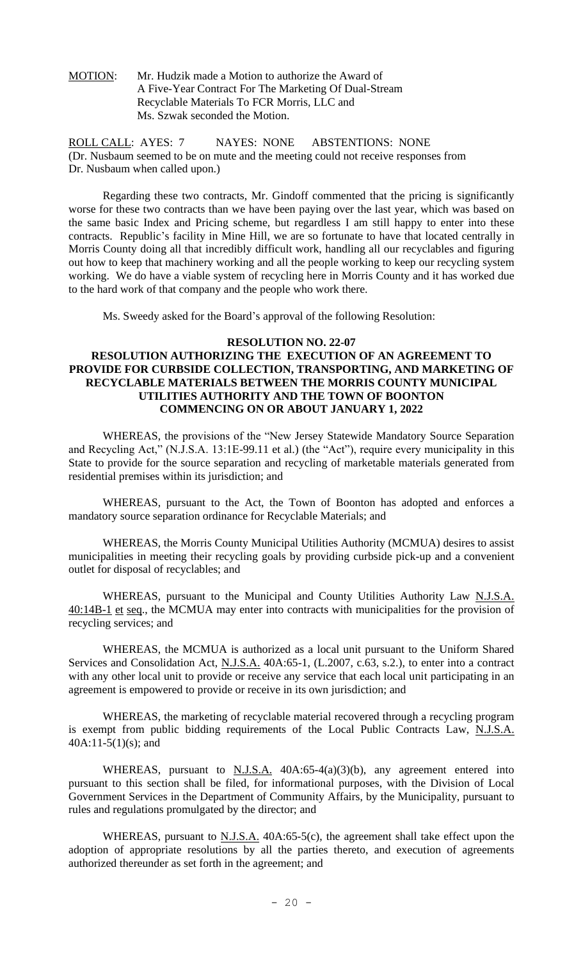MOTION: Mr. Hudzik made a Motion to authorize the Award of A Five-Year Contract For The Marketing Of Dual-Stream Recyclable Materials To FCR Morris, LLC and Ms. Szwak seconded the Motion.

ROLL CALL: AYES: 7 NAYES: NONE ABSTENTIONS: NONE (Dr. Nusbaum seemed to be on mute and the meeting could not receive responses from Dr. Nusbaum when called upon.)

Regarding these two contracts, Mr. Gindoff commented that the pricing is significantly worse for these two contracts than we have been paying over the last year, which was based on the same basic Index and Pricing scheme, but regardless I am still happy to enter into these contracts. Republic's facility in Mine Hill, we are so fortunate to have that located centrally in Morris County doing all that incredibly difficult work, handling all our recyclables and figuring out how to keep that machinery working and all the people working to keep our recycling system working. We do have a viable system of recycling here in Morris County and it has worked due to the hard work of that company and the people who work there.

Ms. Sweedy asked for the Board's approval of the following Resolution:

#### **RESOLUTION NO. 22-07**

### **RESOLUTION AUTHORIZING THE EXECUTION OF AN AGREEMENT TO PROVIDE FOR CURBSIDE COLLECTION, TRANSPORTING, AND MARKETING OF RECYCLABLE MATERIALS BETWEEN THE MORRIS COUNTY MUNICIPAL UTILITIES AUTHORITY AND THE TOWN OF BOONTON COMMENCING ON OR ABOUT JANUARY 1, 2022**

WHEREAS, the provisions of the "New Jersey Statewide Mandatory Source Separation and Recycling Act," (N.J.S.A. 13:1E-99.11 et al.) (the "Act"), require every municipality in this State to provide for the source separation and recycling of marketable materials generated from residential premises within its jurisdiction; and

WHEREAS, pursuant to the Act, the Town of Boonton has adopted and enforces a mandatory source separation ordinance for Recyclable Materials; and

WHEREAS, the Morris County Municipal Utilities Authority (MCMUA) desires to assist municipalities in meeting their recycling goals by providing curbside pick-up and a convenient outlet for disposal of recyclables; and

WHEREAS, pursuant to the Municipal and County Utilities Authority Law N.J.S.A. 40:14B-1 et seq., the MCMUA may enter into contracts with municipalities for the provision of recycling services; and

WHEREAS, the MCMUA is authorized as a local unit pursuant to the Uniform Shared Services and Consolidation Act, N.J.S.A. 40A:65-1, (L.2007, c.63, s.2.), to enter into a contract with any other local unit to provide or receive any service that each local unit participating in an agreement is empowered to provide or receive in its own jurisdiction; and

WHEREAS, the marketing of recyclable material recovered through a recycling program is exempt from public bidding requirements of the Local Public Contracts Law, N.J.S.A.  $40A:11-5(1)(s)$ ; and

WHEREAS, pursuant to  $N.J.S.A.$  40A:65-4(a)(3)(b), any agreement entered into pursuant to this section shall be filed, for informational purposes, with the Division of Local Government Services in the Department of Community Affairs, by the Municipality, pursuant to rules and regulations promulgated by the director; and

WHEREAS, pursuant to N.J.S.A. 40A:65-5(c), the agreement shall take effect upon the adoption of appropriate resolutions by all the parties thereto, and execution of agreements authorized thereunder as set forth in the agreement; and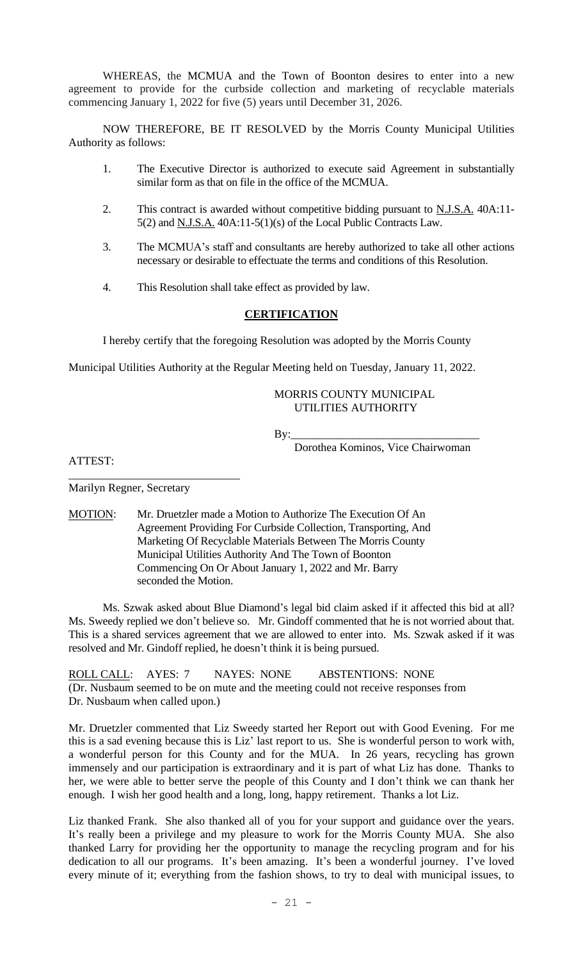WHEREAS, the MCMUA and the Town of Boonton desires to enter into a new agreement to provide for the curbside collection and marketing of recyclable materials commencing January 1, 2022 for five (5) years until December 31, 2026.

NOW THEREFORE, BE IT RESOLVED by the Morris County Municipal Utilities Authority as follows:

- 1. The Executive Director is authorized to execute said Agreement in substantially similar form as that on file in the office of the MCMUA.
- 2. This contract is awarded without competitive bidding pursuant to **N.J.S.A.** 40A:11-5(2) and N.J.S.A. 40A:11-5(1)(s) of the Local Public Contracts Law.
- 3. The MCMUA's staff and consultants are hereby authorized to take all other actions necessary or desirable to effectuate the terms and conditions of this Resolution.
- 4. This Resolution shall take effect as provided by law.

### **CERTIFICATION**

I hereby certify that the foregoing Resolution was adopted by the Morris County

Municipal Utilities Authority at the Regular Meeting held on Tuesday, January 11, 2022.

### MORRIS COUNTY MUNICIPAL UTILITIES AUTHORITY

By:\_\_\_\_\_\_\_\_\_\_\_\_\_\_\_\_\_\_\_\_\_\_\_\_\_\_\_\_\_\_\_\_\_

Dorothea Kominos, Vice Chairwoman

ATTEST:

Marilyn Regner, Secretary

\_\_\_\_\_\_\_\_\_\_\_\_\_\_\_\_\_\_\_\_\_\_\_\_\_\_\_\_\_\_

MOTION: Mr. Druetzler made a Motion to Authorize The Execution Of An Agreement Providing For Curbside Collection, Transporting, And Marketing Of Recyclable Materials Between The Morris County Municipal Utilities Authority And The Town of Boonton Commencing On Or About January 1, 2022 and Mr. Barry seconded the Motion.

Ms. Szwak asked about Blue Diamond's legal bid claim asked if it affected this bid at all? Ms. Sweedy replied we don't believe so. Mr. Gindoff commented that he is not worried about that. This is a shared services agreement that we are allowed to enter into. Ms. Szwak asked if it was resolved and Mr. Gindoff replied, he doesn't think it is being pursued.

ROLL CALL: AYES: 7 NAYES: NONE ABSTENTIONS: NONE (Dr. Nusbaum seemed to be on mute and the meeting could not receive responses from Dr. Nusbaum when called upon.)

Mr. Druetzler commented that Liz Sweedy started her Report out with Good Evening. For me this is a sad evening because this is Liz' last report to us. She is wonderful person to work with, a wonderful person for this County and for the MUA. In 26 years, recycling has grown immensely and our participation is extraordinary and it is part of what Liz has done. Thanks to her, we were able to better serve the people of this County and I don't think we can thank her enough. I wish her good health and a long, long, happy retirement. Thanks a lot Liz.

Liz thanked Frank. She also thanked all of you for your support and guidance over the years. It's really been a privilege and my pleasure to work for the Morris County MUA. She also thanked Larry for providing her the opportunity to manage the recycling program and for his dedication to all our programs. It's been amazing. It's been a wonderful journey. I've loved every minute of it; everything from the fashion shows, to try to deal with municipal issues, to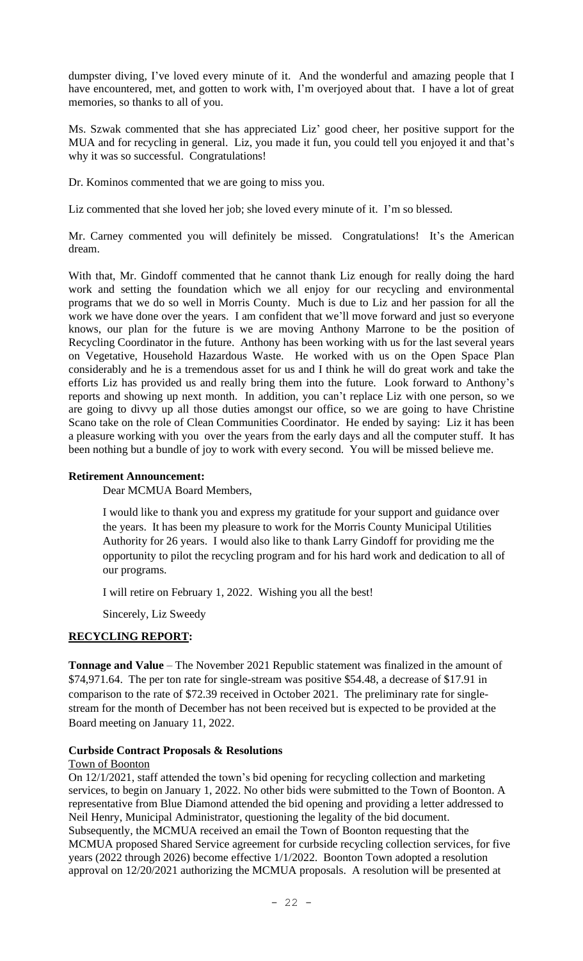dumpster diving, I've loved every minute of it. And the wonderful and amazing people that I have encountered, met, and gotten to work with, I'm overjoyed about that. I have a lot of great memories, so thanks to all of you.

Ms. Szwak commented that she has appreciated Liz' good cheer, her positive support for the MUA and for recycling in general. Liz, you made it fun, you could tell you enjoyed it and that's why it was so successful. Congratulations!

Dr. Kominos commented that we are going to miss you.

Liz commented that she loved her job; she loved every minute of it. I'm so blessed.

Mr. Carney commented you will definitely be missed. Congratulations! It's the American dream.

With that, Mr. Gindoff commented that he cannot thank Liz enough for really doing the hard work and setting the foundation which we all enjoy for our recycling and environmental programs that we do so well in Morris County. Much is due to Liz and her passion for all the work we have done over the years. I am confident that we'll move forward and just so everyone knows, our plan for the future is we are moving Anthony Marrone to be the position of Recycling Coordinator in the future. Anthony has been working with us for the last several years on Vegetative, Household Hazardous Waste. He worked with us on the Open Space Plan considerably and he is a tremendous asset for us and I think he will do great work and take the efforts Liz has provided us and really bring them into the future. Look forward to Anthony's reports and showing up next month. In addition, you can't replace Liz with one person, so we are going to divvy up all those duties amongst our office, so we are going to have Christine Scano take on the role of Clean Communities Coordinator. He ended by saying: Liz it has been a pleasure working with you over the years from the early days and all the computer stuff. It has been nothing but a bundle of joy to work with every second. You will be missed believe me.

## **Retirement Announcement:**

Dear MCMUA Board Members,

I would like to thank you and express my gratitude for your support and guidance over the years. It has been my pleasure to work for the Morris County Municipal Utilities Authority for 26 years. I would also like to thank Larry Gindoff for providing me the opportunity to pilot the recycling program and for his hard work and dedication to all of our programs.

I will retire on February 1, 2022. Wishing you all the best!

Sincerely, Liz Sweedy

# **RECYCLING REPORT:**

**Tonnage and Value** – The November 2021 Republic statement was finalized in the amount of \$74,971.64. The per ton rate for single-stream was positive \$54.48, a decrease of \$17.91 in comparison to the rate of \$72.39 received in October 2021. The preliminary rate for singlestream for the month of December has not been received but is expected to be provided at the Board meeting on January 11, 2022.

### **Curbside Contract Proposals & Resolutions**

### Town of Boonton

On 12/1/2021, staff attended the town's bid opening for recycling collection and marketing services, to begin on January 1, 2022. No other bids were submitted to the Town of Boonton. A representative from Blue Diamond attended the bid opening and providing a letter addressed to Neil Henry, Municipal Administrator, questioning the legality of the bid document. Subsequently, the MCMUA received an email the Town of Boonton requesting that the MCMUA proposed Shared Service agreement for curbside recycling collection services, for five years (2022 through 2026) become effective 1/1/2022. Boonton Town adopted a resolution approval on 12/20/2021 authorizing the MCMUA proposals. A resolution will be presented at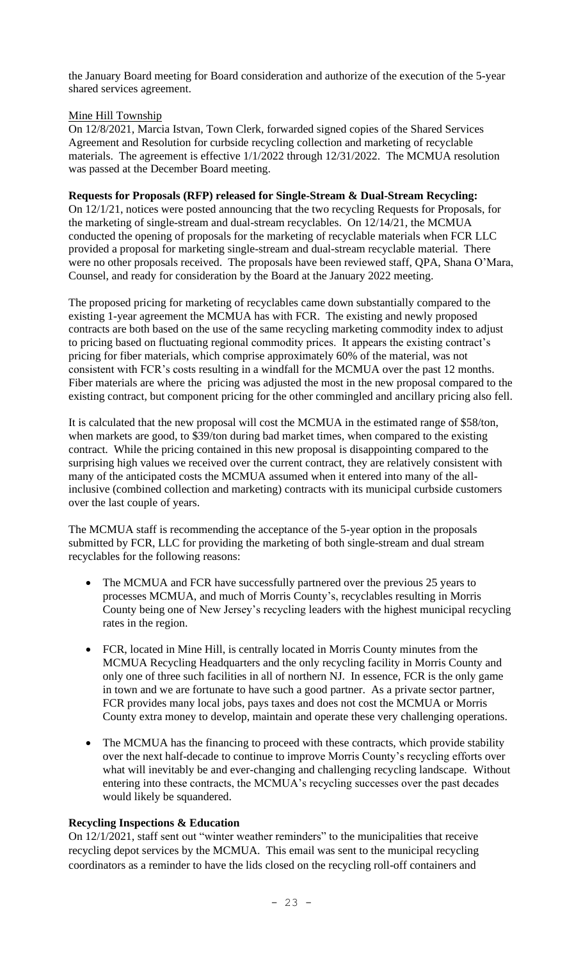the January Board meeting for Board consideration and authorize of the execution of the 5-year shared services agreement.

## Mine Hill Township

On 12/8/2021, Marcia Istvan, Town Clerk, forwarded signed copies of the Shared Services Agreement and Resolution for curbside recycling collection and marketing of recyclable materials. The agreement is effective 1/1/2022 through 12/31/2022. The MCMUA resolution was passed at the December Board meeting.

## **Requests for Proposals (RFP) released for Single-Stream & Dual-Stream Recycling:**

On 12/1/21, notices were posted announcing that the two recycling Requests for Proposals, for the marketing of single-stream and dual-stream recyclables. On 12/14/21, the MCMUA conducted the opening of proposals for the marketing of recyclable materials when FCR LLC provided a proposal for marketing single-stream and dual-stream recyclable material. There were no other proposals received. The proposals have been reviewed staff, QPA, Shana O'Mara, Counsel, and ready for consideration by the Board at the January 2022 meeting.

The proposed pricing for marketing of recyclables came down substantially compared to the existing 1-year agreement the MCMUA has with FCR. The existing and newly proposed contracts are both based on the use of the same recycling marketing commodity index to adjust to pricing based on fluctuating regional commodity prices. It appears the existing contract's pricing for fiber materials, which comprise approximately 60% of the material, was not consistent with FCR's costs resulting in a windfall for the MCMUA over the past 12 months. Fiber materials are where the pricing was adjusted the most in the new proposal compared to the existing contract, but component pricing for the other commingled and ancillary pricing also fell.

It is calculated that the new proposal will cost the MCMUA in the estimated range of \$58/ton, when markets are good, to \$39/ton during bad market times, when compared to the existing contract. While the pricing contained in this new proposal is disappointing compared to the surprising high values we received over the current contract, they are relatively consistent with many of the anticipated costs the MCMUA assumed when it entered into many of the allinclusive (combined collection and marketing) contracts with its municipal curbside customers over the last couple of years.

The MCMUA staff is recommending the acceptance of the 5-year option in the proposals submitted by FCR, LLC for providing the marketing of both single-stream and dual stream recyclables for the following reasons:

- The MCMUA and FCR have successfully partnered over the previous 25 years to processes MCMUA, and much of Morris County's, recyclables resulting in Morris County being one of New Jersey's recycling leaders with the highest municipal recycling rates in the region.
- FCR, located in Mine Hill, is centrally located in Morris County minutes from the MCMUA Recycling Headquarters and the only recycling facility in Morris County and only one of three such facilities in all of northern NJ. In essence, FCR is the only game in town and we are fortunate to have such a good partner. As a private sector partner, FCR provides many local jobs, pays taxes and does not cost the MCMUA or Morris County extra money to develop, maintain and operate these very challenging operations.
- The MCMUA has the financing to proceed with these contracts, which provide stability over the next half-decade to continue to improve Morris County's recycling efforts over what will inevitably be and ever-changing and challenging recycling landscape. Without entering into these contracts, the MCMUA's recycling successes over the past decades would likely be squandered.

### **Recycling Inspections & Education**

On 12/1/2021, staff sent out "winter weather reminders" to the municipalities that receive recycling depot services by the MCMUA. This email was sent to the municipal recycling coordinators as a reminder to have the lids closed on the recycling roll-off containers and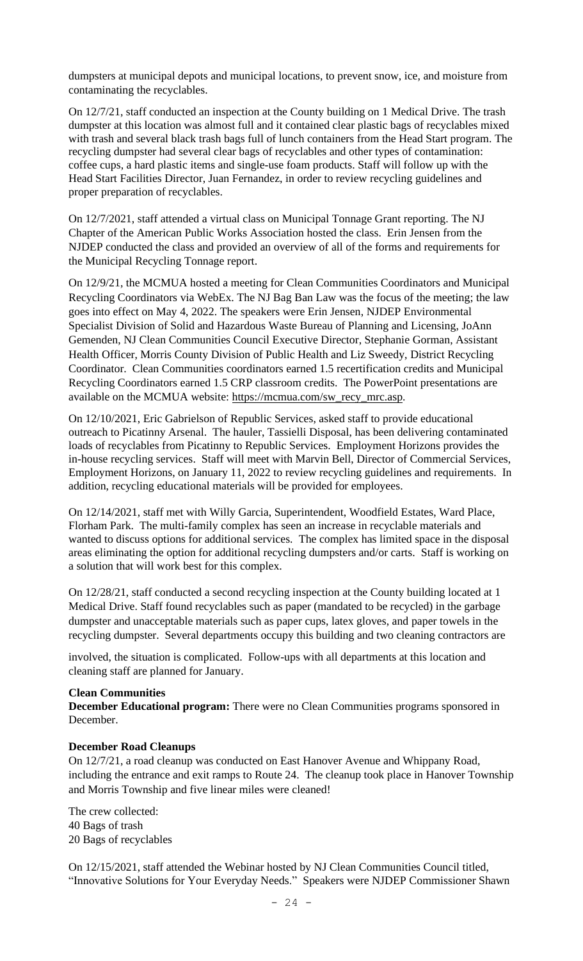dumpsters at municipal depots and municipal locations, to prevent snow, ice, and moisture from contaminating the recyclables.

On 12/7/21, staff conducted an inspection at the County building on 1 Medical Drive. The trash dumpster at this location was almost full and it contained clear plastic bags of recyclables mixed with trash and several black trash bags full of lunch containers from the Head Start program. The recycling dumpster had several clear bags of recyclables and other types of contamination: coffee cups, a hard plastic items and single-use foam products. Staff will follow up with the Head Start Facilities Director, Juan Fernandez, in order to review recycling guidelines and proper preparation of recyclables.

On 12/7/2021, staff attended a virtual class on Municipal Tonnage Grant reporting. The NJ Chapter of the American Public Works Association hosted the class. Erin Jensen from the NJDEP conducted the class and provided an overview of all of the forms and requirements for the Municipal Recycling Tonnage report.

On 12/9/21, the MCMUA hosted a meeting for Clean Communities Coordinators and Municipal Recycling Coordinators via WebEx. The NJ Bag Ban Law was the focus of the meeting; the law goes into effect on May 4, 2022. The speakers were Erin Jensen, NJDEP Environmental Specialist Division of Solid and Hazardous Waste Bureau of Planning and Licensing, JoAnn Gemenden, NJ Clean Communities Council Executive Director, Stephanie Gorman, Assistant Health Officer, Morris County Division of Public Health and Liz Sweedy, District Recycling Coordinator. Clean Communities coordinators earned 1.5 recertification credits and Municipal Recycling Coordinators earned 1.5 CRP classroom credits. The PowerPoint presentations are available on the MCMUA website: [https://mcmua.com/sw\\_recy\\_mrc.asp.](https://mcmua.com/sw_recy_mrc.asp)

On 12/10/2021, Eric Gabrielson of Republic Services, asked staff to provide educational outreach to Picatinny Arsenal. The hauler, Tassielli Disposal, has been delivering contaminated loads of recyclables from Picatinny to Republic Services. Employment Horizons provides the in-house recycling services. Staff will meet with Marvin Bell, Director of Commercial Services, Employment Horizons, on January 11, 2022 to review recycling guidelines and requirements. In addition, recycling educational materials will be provided for employees.

On 12/14/2021, staff met with Willy Garcia, Superintendent, Woodfield Estates, Ward Place, Florham Park. The multi-family complex has seen an increase in recyclable materials and wanted to discuss options for additional services. The complex has limited space in the disposal areas eliminating the option for additional recycling dumpsters and/or carts. Staff is working on a solution that will work best for this complex.

On 12/28/21, staff conducted a second recycling inspection at the County building located at 1 Medical Drive. Staff found recyclables such as paper (mandated to be recycled) in the garbage dumpster and unacceptable materials such as paper cups, latex gloves, and paper towels in the recycling dumpster. Several departments occupy this building and two cleaning contractors are

involved, the situation is complicated. Follow-ups with all departments at this location and cleaning staff are planned for January.

#### **Clean Communities**

**December Educational program:** There were no Clean Communities programs sponsored in December.

#### **December Road Cleanups**

On 12/7/21, a road cleanup was conducted on East Hanover Avenue and Whippany Road, including the entrance and exit ramps to Route 24. The cleanup took place in Hanover Township and Morris Township and five linear miles were cleaned!

The crew collected: 40 Bags of trash 20 Bags of recyclables

On 12/15/2021, staff attended the Webinar hosted by NJ Clean Communities Council titled, "Innovative Solutions for Your Everyday Needs." Speakers were NJDEP Commissioner Shawn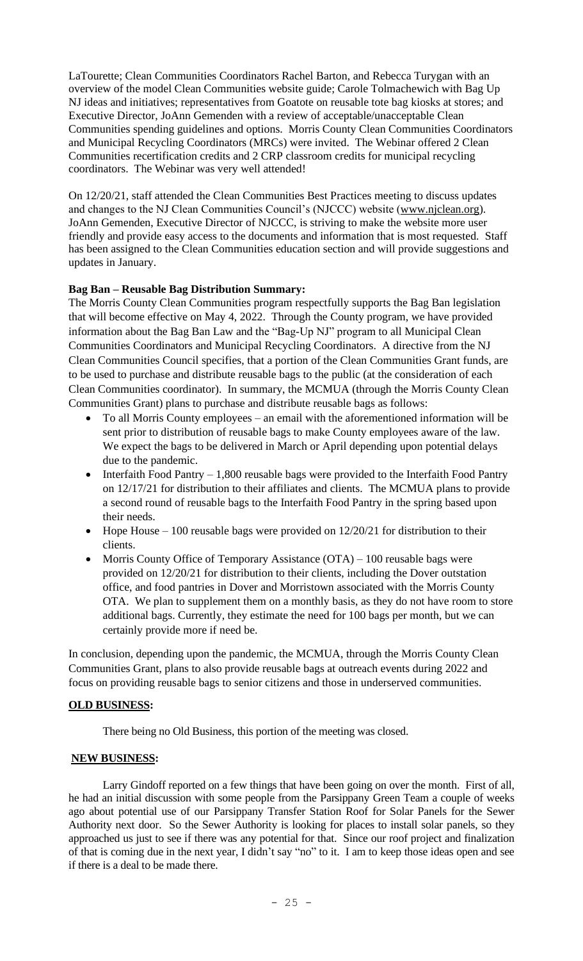LaTourette; Clean Communities Coordinators Rachel Barton, and Rebecca Turygan with an overview of the model Clean Communities website guide; Carole Tolmachewich with Bag Up NJ ideas and initiatives; representatives from Goatote on reusable tote bag kiosks at stores; and Executive Director, JoAnn Gemenden with a review of acceptable/unacceptable Clean Communities spending guidelines and options. Morris County Clean Communities Coordinators and Municipal Recycling Coordinators (MRCs) were invited. The Webinar offered 2 Clean Communities recertification credits and 2 CRP classroom credits for municipal recycling coordinators. The Webinar was very well attended!

On 12/20/21, staff attended the Clean Communities Best Practices meeting to discuss updates and changes to the NJ Clean Communities Council's (NJCCC) website [\(www.njclean.org\)](http://www.njclean.org/). JoAnn Gemenden, Executive Director of NJCCC, is striving to make the website more user friendly and provide easy access to the documents and information that is most requested. Staff has been assigned to the Clean Communities education section and will provide suggestions and updates in January.

## **Bag Ban – Reusable Bag Distribution Summary:**

The Morris County Clean Communities program respectfully supports the Bag Ban legislation that will become effective on May 4, 2022. Through the County program, we have provided information about the Bag Ban Law and the "Bag-Up NJ" program to all Municipal Clean Communities Coordinators and Municipal Recycling Coordinators. A directive from the NJ Clean Communities Council specifies, that a portion of the Clean Communities Grant funds, are to be used to purchase and distribute reusable bags to the public (at the consideration of each Clean Communities coordinator). In summary, the MCMUA (through the Morris County Clean Communities Grant) plans to purchase and distribute reusable bags as follows:

- To all Morris County employees an email with the aforementioned information will be sent prior to distribution of reusable bags to make County employees aware of the law. We expect the bags to be delivered in March or April depending upon potential delays due to the pandemic.
- Interfaith Food Pantry 1,800 reusable bags were provided to the Interfaith Food Pantry on 12/17/21 for distribution to their affiliates and clients. The MCMUA plans to provide a second round of reusable bags to the Interfaith Food Pantry in the spring based upon their needs.
- Hope House 100 reusable bags were provided on  $12/20/21$  for distribution to their clients.
- Morris County Office of Temporary Assistance (OTA) 100 reusable bags were provided on 12/20/21 for distribution to their clients, including the Dover outstation office, and food pantries in Dover and Morristown associated with the Morris County OTA. We plan to supplement them on a monthly basis, as they do not have room to store additional bags. Currently, they estimate the need for 100 bags per month, but we can certainly provide more if need be.

In conclusion, depending upon the pandemic, the MCMUA, through the Morris County Clean Communities Grant, plans to also provide reusable bags at outreach events during 2022 and focus on providing reusable bags to senior citizens and those in underserved communities.

### **OLD BUSINESS:**

There being no Old Business, this portion of the meeting was closed.

### **NEW BUSINESS:**

Larry Gindoff reported on a few things that have been going on over the month. First of all, he had an initial discussion with some people from the Parsippany Green Team a couple of weeks ago about potential use of our Parsippany Transfer Station Roof for Solar Panels for the Sewer Authority next door. So the Sewer Authority is looking for places to install solar panels, so they approached us just to see if there was any potential for that. Since our roof project and finalization of that is coming due in the next year, I didn't say "no" to it. I am to keep those ideas open and see if there is a deal to be made there.